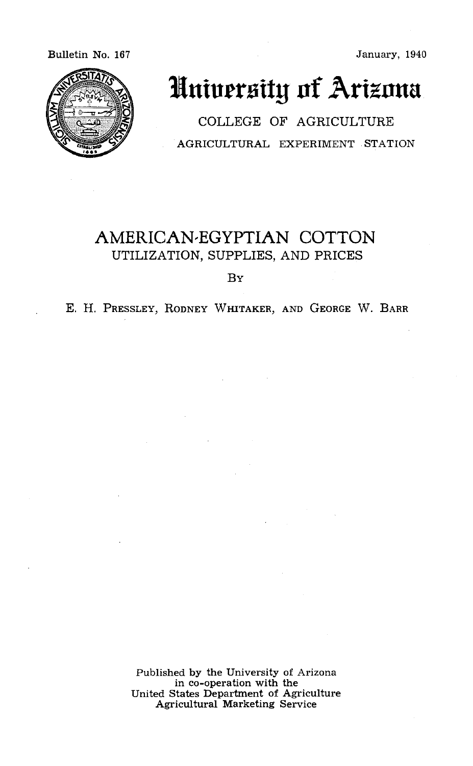#### Bulletin No. 167 **January, 1940**



# Huiversity of Arizona

COLLEGE OF AGRICULTURE AGRICULTURAL EXPERIMENT STATION

# AMERICAN-EGYPTIAN COTTON UTILIZATION, SUPPLIES, AND PRICES

BY

E. H. PRESSLEY, RODNEY WHITAKER, AND GEORGE W. BARR

Published by the University of Arizona United States Department of Agriculture<br>Agricultural Marketing Service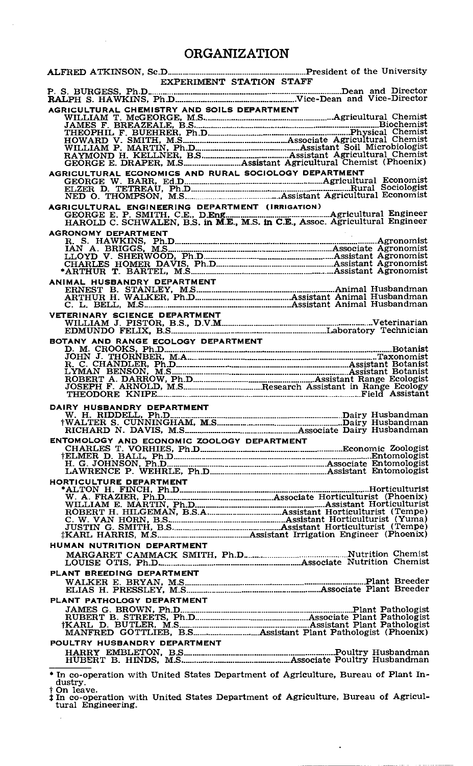### ORGANIZATION

| <b>EXPERIMENT STATION STAFF</b>                                                                                                                                                                                                         |  |
|-----------------------------------------------------------------------------------------------------------------------------------------------------------------------------------------------------------------------------------------|--|
|                                                                                                                                                                                                                                         |  |
| P. S. BURGESS, Ph.D. Ph.D. 2000 and Director RALPH S. HAWKINS, Ph.D. 2000 and 2010 and 2010 and 2010 and 2010                                                                                                                           |  |
|                                                                                                                                                                                                                                         |  |
|                                                                                                                                                                                                                                         |  |
|                                                                                                                                                                                                                                         |  |
|                                                                                                                                                                                                                                         |  |
|                                                                                                                                                                                                                                         |  |
|                                                                                                                                                                                                                                         |  |
|                                                                                                                                                                                                                                         |  |
|                                                                                                                                                                                                                                         |  |
|                                                                                                                                                                                                                                         |  |
|                                                                                                                                                                                                                                         |  |
|                                                                                                                                                                                                                                         |  |
|                                                                                                                                                                                                                                         |  |
|                                                                                                                                                                                                                                         |  |
|                                                                                                                                                                                                                                         |  |
|                                                                                                                                                                                                                                         |  |
|                                                                                                                                                                                                                                         |  |
|                                                                                                                                                                                                                                         |  |
|                                                                                                                                                                                                                                         |  |
|                                                                                                                                                                                                                                         |  |
|                                                                                                                                                                                                                                         |  |
|                                                                                                                                                                                                                                         |  |
|                                                                                                                                                                                                                                         |  |
|                                                                                                                                                                                                                                         |  |
| ANIMAL HUSBANDRY DEPARTMENT<br>ERNEST B. STANLEY, M.S. Assistant Animal Husbandman<br>ARTHUR H. WALKER, Ph.D. Assistant Animal Husbandman<br>C. L. BELL, M.S. Assistant Animal Husbandman                                               |  |
|                                                                                                                                                                                                                                         |  |
|                                                                                                                                                                                                                                         |  |
|                                                                                                                                                                                                                                         |  |
|                                                                                                                                                                                                                                         |  |
|                                                                                                                                                                                                                                         |  |
|                                                                                                                                                                                                                                         |  |
|                                                                                                                                                                                                                                         |  |
|                                                                                                                                                                                                                                         |  |
|                                                                                                                                                                                                                                         |  |
|                                                                                                                                                                                                                                         |  |
|                                                                                                                                                                                                                                         |  |
|                                                                                                                                                                                                                                         |  |
|                                                                                                                                                                                                                                         |  |
|                                                                                                                                                                                                                                         |  |
|                                                                                                                                                                                                                                         |  |
| DAIRY HUSBANDRY DEPARTMENT<br>W. H. RIDDELL, Ph.D. WALTER S. CUNNINGHAM, M.S. And Manuscript Dairy Husbandman<br>HVALTER S. CUNNINGHAM, M.S. And Manuscript Dairy Husbandman<br>RICHARD N. DAVIS, M.S. And Manuscript Associate Dairy H |  |
|                                                                                                                                                                                                                                         |  |
|                                                                                                                                                                                                                                         |  |
|                                                                                                                                                                                                                                         |  |
|                                                                                                                                                                                                                                         |  |
|                                                                                                                                                                                                                                         |  |
|                                                                                                                                                                                                                                         |  |
|                                                                                                                                                                                                                                         |  |
|                                                                                                                                                                                                                                         |  |
|                                                                                                                                                                                                                                         |  |
|                                                                                                                                                                                                                                         |  |
|                                                                                                                                                                                                                                         |  |
|                                                                                                                                                                                                                                         |  |
|                                                                                                                                                                                                                                         |  |
|                                                                                                                                                                                                                                         |  |
|                                                                                                                                                                                                                                         |  |
|                                                                                                                                                                                                                                         |  |
|                                                                                                                                                                                                                                         |  |
| HUMAN NUTRITION DEPARTMENT                                                                                                                                                                                                              |  |
|                                                                                                                                                                                                                                         |  |
|                                                                                                                                                                                                                                         |  |
|                                                                                                                                                                                                                                         |  |
| PLANT BREEDING DEPARTMENT                                                                                                                                                                                                               |  |
|                                                                                                                                                                                                                                         |  |
|                                                                                                                                                                                                                                         |  |
| PLANT PATHOLOGY DEPARTMENT                                                                                                                                                                                                              |  |
|                                                                                                                                                                                                                                         |  |
|                                                                                                                                                                                                                                         |  |
|                                                                                                                                                                                                                                         |  |
|                                                                                                                                                                                                                                         |  |
|                                                                                                                                                                                                                                         |  |
| POULTRY HUSBANDRY DEPARTMENT                                                                                                                                                                                                            |  |
|                                                                                                                                                                                                                                         |  |
|                                                                                                                                                                                                                                         |  |
|                                                                                                                                                                                                                                         |  |
| In co-operation with United States Department of Agriculture, Bureau of Plant In-<br>dustry.                                                                                                                                            |  |

† On leave.<br> **In co-operation with United States Department of Agriculture, Bureau of Agricultural Engineering.** 

 $\mathcal{L}$ 

and the company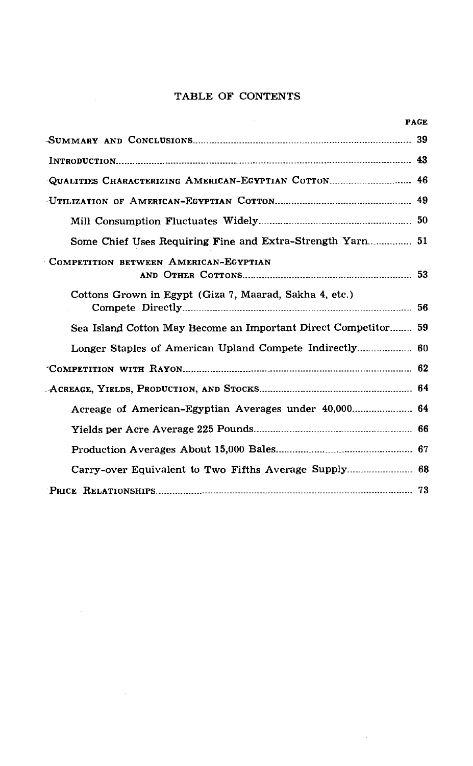#### TABLE OF CONTENTS

|                                                                | <b>PAGE</b> |
|----------------------------------------------------------------|-------------|
|                                                                |             |
|                                                                |             |
| -QUALITIES CHARACTERIZING AMERICAN-EGYPTIAN COTTON 46          |             |
|                                                                |             |
|                                                                |             |
|                                                                |             |
| COMPETITION BETWEEN AMERICAN-EGYPTIAN                          |             |
| Cottons Grown in Egypt (Giza 7, Maarad, Sakha 4, etc.)         |             |
| Sea Island Cotton May Become an Important Direct Competitor 59 |             |
|                                                                |             |
|                                                                |             |
|                                                                |             |
|                                                                |             |
|                                                                |             |
|                                                                |             |
|                                                                |             |
|                                                                |             |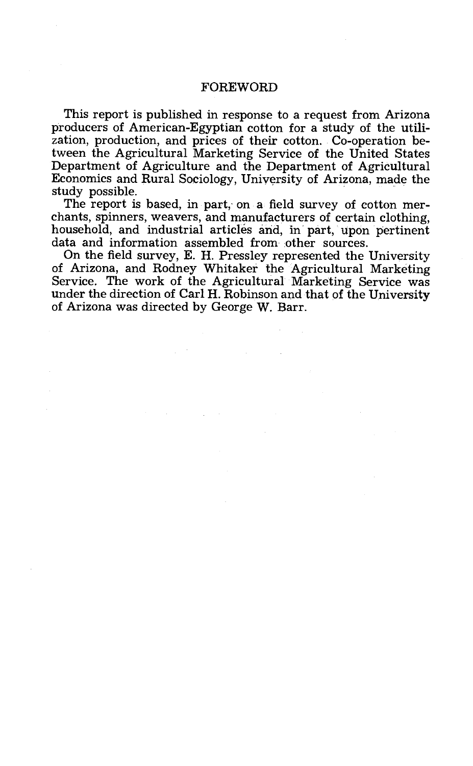#### FOREWORD

This report is published in response to a request from Arizona producers of American-Egyptian cotton for a study of the utilization, production, and prices of their cotton. Co-operation between the Agricultural Marketing Service of the United States Department of Agriculture and the Department of Agricultural Economics and Rural Sociology, University of Arizona, made the

The report is based, in part, on a field survey of cotton mer-<br>chants, spinners, weavers, and manufacturers of certain clothing,<br>household, and industrial articles and, in part, upon pertinent<br>data and information assemble

of Arizona, and Rodney Whitaker the Agricultural Marketing<br>Service. The work of the Agricultural Marketing Service was<br>under the direction of Carl H. Robinson and that of the University of Arizona was directed by George W. Barr.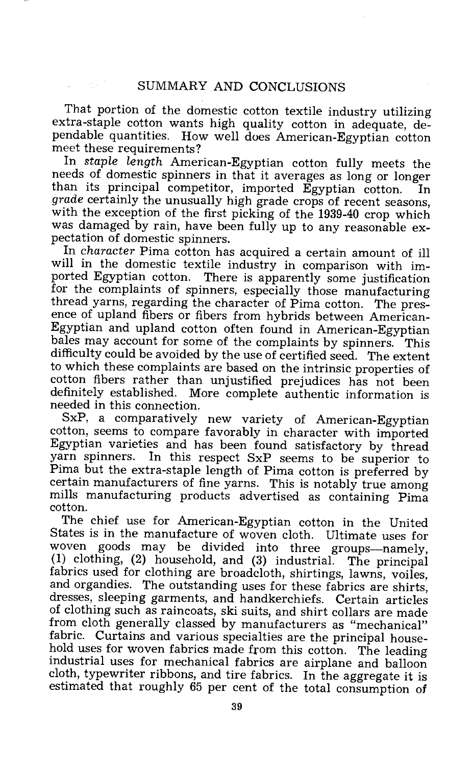That portion of the domestic cotton textile industry utilizing extra-staple cotton wants high quality cotton in adequate, dependable quantities. How well does American-Egyptian cotton meet these requirements?<br>In *staple length* American-Egyptian cotton fully meets the

needs of domestic spinners in that it averages as long or longer<br>than its principal competitor, imported Egyptian cotton. In than its principal competitor, imported Egyptian cotton. In grade certainly the unusually high grade crops of recent seasons. with the exception of the first picking of the 1939-40 crop which<br>was damaged by rain, have been fully up to any reasonable ex-<br>pectation of domestic spinners.<br>In character Pima cotton has acquired a certain amount of ill

will in the domestic textile industry in comparison with im-<br>ported Egyptian cotton. There is apparently some justification for the complaints of spinners, especially those manufacturing thread yarns, regarding the character of Pima cotton. The presence of upland fibers or fibers from hybrids between American-<br>Egyptian and upland cotton often found in American-Egyptian bales may account for some of the complaints by spinners. This difficulty could be avoided by the use of certified seed. The extent to which these complaints are based on the intrinsic properties of cotton fibers rather than unjustified prejudices has not been definitely established. More complete authentic information is needed in this connection.

SxP, a comparatively new variety of American-Egyptian cotton, seems to compare favorably in character with imported Egyptian varieties and has been found satisfactory by thread yarn spinners. In this respect SxP seems to be superior to Pima but the extra -staple length of Pima cotton is preferred by certain manufacturers of fine yarns. This is notably true among mills manufacturing products advertised as containing Pima cotton.

The chief use for American-Egyptian cotton in the United<br>States is in the manufacture of woven cloth. Ultimate uses for<br>woven goods may be divided into three groups—namely,<br>(1) clothing, (2) household, and (3) industrial. of clothing such as raincoats, ski suits, and shirt collars are made from cloth generally classed by manufacturers as "mechanical" fabric. Curtains and various specialties are the principal house- hold uses for woven fabrics made from this cotton. The leading industrial uses for mechanical fabrics are airplane and balloon cloth, typewriter ribbons, and tire fabrics. In the aggregate it is estimated that roughly 65 per cent of the total consumption of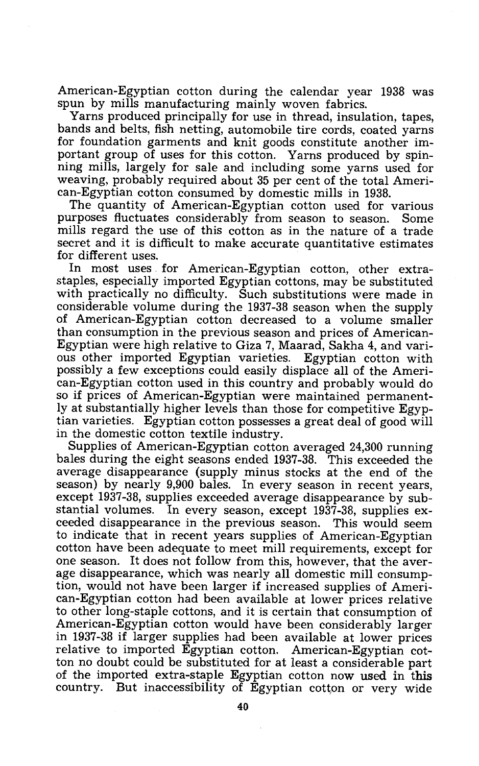American-Egyptian cotton during the calendar year 1938 was<br>spun by mills manufacturing mainly woyen fabrics.

Yarns produced principally for use in thread, insulation, tapes, bands and belts, fish netting, automobile tire cords, coated yarns for foundation garments and knit goods constitute another important group of uses for this cotton. Yarns produced by spin-<br>ning mills, largely for sale and including some yarns used for<br>weaving, probably required about 35 per cent of the total Ameri-<br>can-Egyptian cotton consumed by

mills regard the use of this cotton as in the nature of a trade secret and it is difficult to make accurate quantitative estimates

for different uses.<br>In most uses for American-Egyptian cotton, other extrastaples, especially imported Egyptian cottons, may be substituted with practically no difficulty. Such substitutions were made in considerable volume during the 1937-38 season when the supply of American-Egyptian cotton decreased to a volume smaller than consumption in the previous season and prices of American-Egyptian were high relative to Giza 7, Maarad, Sakha 4, and vari-<br>ous other imported Egyptian- varieties. Egyptian cotton with<br>possibly a few exceptions could easily displace all of the American-Egyptian cotton used in this country and probably would do so if prices of American-Egyptian were maintained permanently at substantially higher levels than those for competitive Egyptian varieties. Egyptian cotton possesses a great deal of good will in the domestic cotton textile industry.

Supplies of American-Egyptian cotton averaged 24,300 running bales during the eight seasons ended 1937 -38. This exceeded the average disappearance (supply minus stocks at the end of the season) by nearly 9,900 bales. In every season in recent years. except 1937-38, supplies exceeded average disappearance by substantial volumes. In every season, except 1937-38, supplies exceeded disappearance in the previous season. This would seem to indicate that in recent years supplies of American -Egyptian cotton have been adequate to meet mill requirements, except for one season. It does not follow from this, however, that the average disappearance, which was nearly all domestic mill consumption, would not have been larger if increased supplies of American-Egyptian cotton had been available at lower prices relative to other long -staple cottons, and it is certain that consumption of American -Egyptian cotton would have been considerably larger in 1937 -38 if larger supplies had been available at lower prices relative to imported Egyptian cotton. American-Egyptian cotton no doubt could be substituted for at least a considerable part of the imported extra -staple Egyptian cotton now used in this country. But inaccessibility of Egyptian cotton or very wide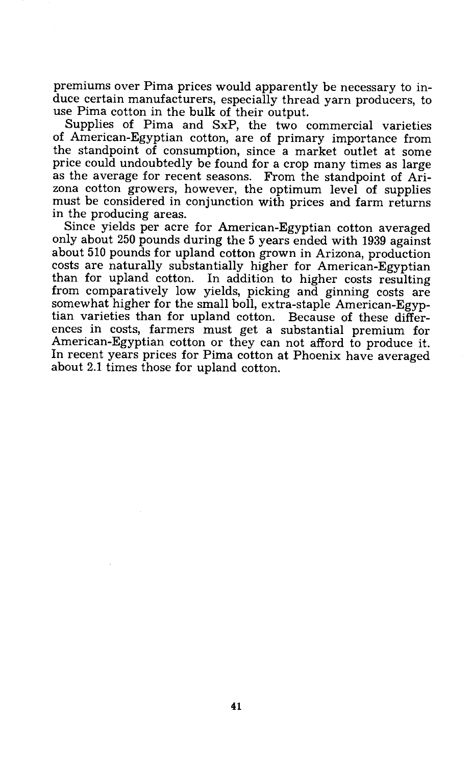premiums over Pima prices would apparently be necessary to in-<br>duce certain manufacturers, especially thread yarn producers, to<br>use Pima cotton in the bulk of their output.

Supplies of Pima and SxP, the two commercial varieties of American-Egyptian cotton, are of primary importance from the standpoint of consumption, since a market outlet at some price could undoubtedly be found for a crop many times as large<br>as the average for recent seasons. From the standpoint of Ari-<br>zona cotton growers, however, the optimum level of supplies<br>must be considered in conjunction w

Since yields per acre for American-Egyptian cotton averaged only about 250 pounds during the 5 years ended with 1939 against about 510 pounds for upland cotton grown in Arizona, production costs are naturally substantially higher for American-Egyptian than for upland cotton. In addition to higher costs resulting from comparatively low yields, picking and ginning costs are somewhat higher for the small boll, extra-staple American-Egyptian varieties than for upland cotton. Because of these differences in costs, farmers must get a substantial premium for American -Egyptian cotton or they can not afford to produce it. In recent years prices for Pima cotton at Phoenix have averaged about 2.1 times those for upland cotton.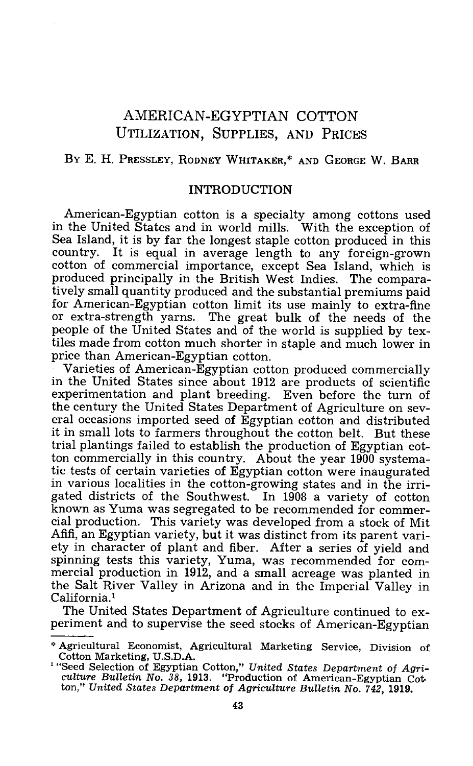## AMERICAN -EGYPTIAN COTTON UTILIZATION, SUPPLIES, AND PRICES

#### BY E. H. PRESSLEY, RODNEY WHITAKER,\* AND GEORGE W. BARR

#### INTRODUCTION

American-Egyptian cotton is a specialty among cottons used in the United States and in world mills. With the exception of Sea Island, it is by far the longest staple cotton produced in this country. It is equal in average length to any foreign-grown<br>cotton of commercial importance, except Sea Island, which is produced principally in the British West Indies. The comparatively small quantity produced and the substantial premiums paid or extra-strength yarns. The great bulk of the needs of the people of the United States and of the world is supplied by textiles made from cotton much shorter in staple and much lower in price than American-Egyptian cotton.

Varieties of American -Egyptian cotton produced commercially in the United States since about 1912 are products of scientific experimentation and plant breeding. Even before the turn of the century the United States Department of Agriculture on sev- eral occasions imported seed of Egyptian cotton and distributed it in small lots to farmers throughout the cotton belt. But these trial plantings failed to establish the production of Egyptian cotton commercially in this country. About the year 1900 systematic tests of certain varieties of Egyptian cotton were inaugurated<br>in various localities in the cotton-growing states and in the irrigated districts of the Southwest. In 1908 a variety of cotton known as Yuma was segregated to be recommended for commercial production. This variety was developed from a stock of Mit<br>Afifi, an Egyptian variety, but it was distinct from its parent vari-<br>ety in character of plant and fiber. After a series of yield and<br>spinning tests this var mercial production in 1912, and a small acreage was planted in the Salt River Valley in Arizona and in the Imperial Valley in California.'

periment and to supervise the seed stocks of American-Egyptian

<sup>\*</sup> Agricultural Economist, Agricultural Marketing Service, Division of Cotton Marketing, U.S.D.A.<br>
<sup>1</sup> "Seed Selection of Egyptian Cotton," United States Department of Agriculture Bulletin No. 38, 1913. "Production of Ameri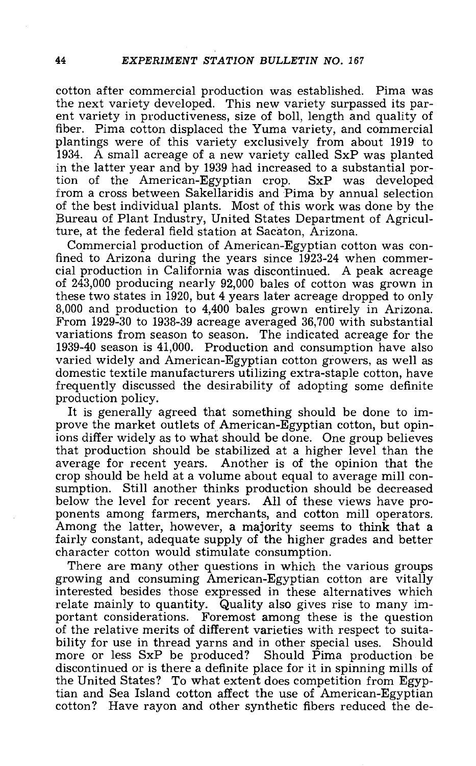cotton after commercial production was established. Pima was ent variety in productiveness, size of boll, length and quality of<br>fiber. Pima cotton displaced the Yuma variety, and commercial plantings were of this variety exclusively from about 1919 to 1934. A small acreage of a new variety called SxP was planted in the latter year and by 1939 had increased to a substantial portion of the American-Egyptian crop. SxP was developed tion of the American-Egyptian crop. from a cross between Sakellaridis and Pima by annual selection of the best individual plants. Most of this work was done by the Bureau of Plant Industry, United States Department of Agriculture, at the federal field station at Sacaton, Arizona.<br>Commercial production of American-Egyptian cotton was con-

fined to Arizona during the years since  $1923-24$  when commer-<br>cial production in California was discontinued. A peak acreage<br>of  $243,000$  producing nearly  $92,000$  bales of cotton was grown in<br>these two states in  $1920$ , 8,000 and production to 4,400 bales grown entirely in Arizona.<br>From 1929-30 to 1938-39 acreage averaged 36,700 with substantial variations from season to season. The indicated acreage for the 1939 -40 season is 41,000. Production and consumption have also varied widely and American-Egyptian cotton growers, as well as<br>domestic textile manufacturers utilizing extra-staple cotton, have frequently discussed the desirability of adopting some definite<br>production policy.

It is generally agreed that something should be done to im- prove the market outlets of American-Egyptian cotton, but opinions differ widely as to what should be done. One group believes that production should be stabilized at a higher level than the average for recent years. Another is of the opinion that the sumption. Still another thinks production should be decreased<br>below the level for recent years. All of these views have proponents among farmers, merchants, and cotton mill operators.<br>Among the latter, however, a majority seems to think that a fairly constant, adequate supply of the higher grades and better character cotton would stimulate consumption.

There are many other questions in which the various groups growing and consuming American- Egyptian cotton are vitally interested besides those expressed in these alternatives which relate mainly to quantity. Quality also gives rise to many important considerations. Foremost among these is the question<br>of the relative merits of different varieties with respect to suitability for use in thread varns and in other special uses. Should more or less SxP be produced? Should Pima production be discontinued or is there a definite place for it in spinning mills of the United States? To what extent does competition from Egyptian and Sea Island cotton affect the use of American-Egyptian cotton? Have rayon and other synthetic fibers reduced the de-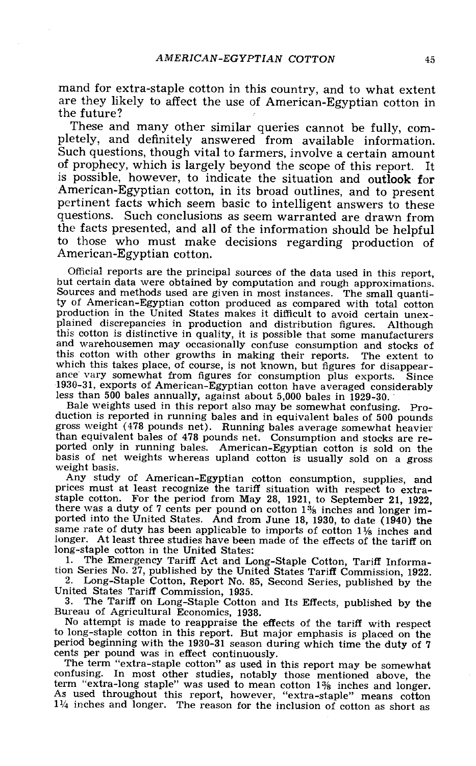mand for extra-staple cotton in this country, and to what extent are they likely to affect the use of American-Egyptian cotton in the future?<br>These and many other similar queries cannot be fully, com-

pletely, and definitely answered from available information.<br>Such questions, though vital to farmers, involve a certain amount<br>of prophecy, which is largely beyond the scope of this report. It<br>is possible, however, to indi American-Egyptian cotton, in its broad outlines, and to present<br>pertinent facts which seem basic to intelligent answers to these<br>questions. Such conclusions as seem warranted are drawn from<br>the facts presented, and all of to those who must make decisions regarding production of American-Egyptian cotton.

Official reports are the principal sources of the data used in this report, but certain data were obtained by computation and rough approximations. Sources and methods used are given in most instances. The small quantity o production in the United States makes it difficult to avoid certain unex-<br>plained discrepancies in production and distribution figures. Although<br>this cotton is distinctive in quality, it is possible that some manufacturer and warehousemen may occasionally confuse consumption and stocks of this cotton with other growths in making their reports. The extent to which this takes place, of course, is not known, but figures for disappearance vary somewhat from figures for consumption plus exports. Since 1930-31, exports of American-Egyptian cotton have averaged considerably less than 500 bales annually, against about 5,000 bales in 1929-30.

Bale weights used in this report also may be somewhat confusing. Pro-<br>duction is reported in running bales and in equivalent bales of 500 pounds gross weight (478 pounds net). Running bales average somewhat heavier than equivalent bales of 478 pounds net. Consumption and stocks are re-

ported only in running bales. American-Egyptian cotton is sold on the<br>basis of net weights whereas upland cotton is usually sold on a gross<br>weight basis.<br>Any study of American-Egyptian cotton consumption, supplies, and<br>pr same rate of duty has been applicable to imports of cotton  $1\frac{1}{8}$  inches and longer. At least three studies have been made of the effects of the tariff on long-staple cotton in the United States:

1. The Emergency Tariff Act and Long-Staple Cotton, Tariff Information Series No. 27, published by the United States Tariff Commission, 1922.

2. Long-Staple Cotton, Report No. 85, Second Series, published by the United States Tariff Commission, 1935.<br>3. The Tariff on Long-Staple Cotton and Its Effects, published by the

3. The Tariff on Long -Staple Cotton and Its Effects, published by the Bureau of Agricultural Economics, 1938. No attempt is made to reappraise the effects of the tariff with respect

to long- staple cotton in this report. But major emphasis is placed on the period beginning with the 1930 -31 season during which time the duty of 7

cents per pound was in effect continuously. The term "extra- staple cotton" as used in this report may be somewhat confusing. In most other studies, notably those mentioned above, the term "extra -long staple" was used to mean cotton 1% inches and longer. As used throughout this report, however, "extra- staple" means cotton As used throughout this report, however, "extra-staple" means cotton  $1\frac{1}{4}$  inches and longer. The reason for the inclusion of cotton as short as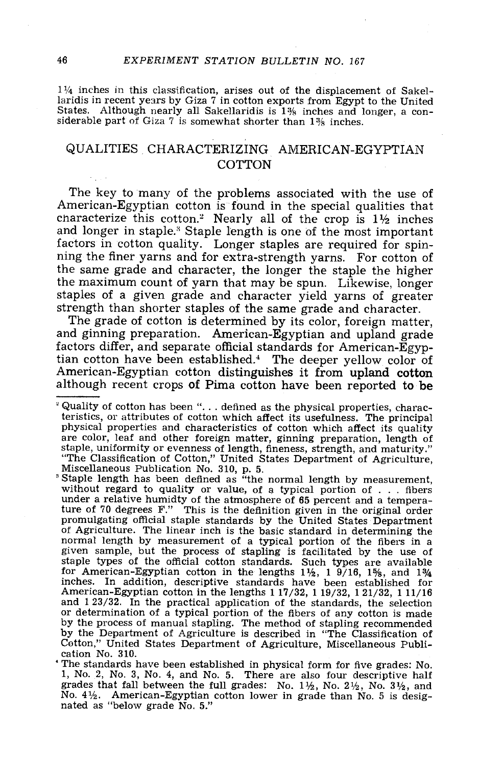$1\frac{1}{4}$  inches in this classification, arises out of the displacement of Sakellaridis in recent years by Giza 7 in cotton exports from Egypt to the United States. Although nearly all Sakellaridis is  $1\%$  inches and longer, a considerable part of Giza 7 is somewhat shorter than  $1\%$  inches.

#### QUALITIES CHARACTERIZING AMERICAN -EGYPTIAN **COTTON**

The key to many of the problems associated with the use of American-Egyptian cotton is found in the special qualities that characterize this cotton.<sup>2</sup> Nearly all of the crop is  $11/2$  inches and longer in staple.<sup>3</sup> Stap factors in cotton quality. Longer staples are required for spin-<br>ning the finer varns and for extra-strength yarns. For cotton of the same grade and character, the longer the staple the higher the maximum count of yarn that may be spun. Likewise, longer staples of a given grade and character yield yarns of greater<br>strength than shorter staples of the same grade and character.<br>The grade of cotton is determined by its color, foreign matter,<br>and ginning preparation. American

factors differ, and separate official standards for American-Egyp-<br>tian cotton have been established.<sup>4</sup> The deeper yellow color of American-Egyptian cotton distinguishes it from upland cotton although recent crops of Pima cotton have been reported to be

 $^2$  Quality of cotton has been "... defined as the physical properties, characteristics, or attributes of cotton which affect its usefulness. The principal physical properties and characteristics of cotton which affect its quality are color, leaf and other foreign matter, ginning preparation, length staple, uniformity or evenness of length, fineness, strength, and maturity."<br>
"The Classification of Cotton," United States Department of Agriculture,<br>
Miscellaneous Publication No. 310, p. 5.<br>
"Staple length has been def

under a relative humidty of the atmosphere of  $65$  percent and a temperature of  $70$  degrees  $F''$ . This is the definition given in the original order ture of 70 degrees F." This is the definition given in the original order<br>promulgating official staple standards by the United States Department<br>of Agriculture. The linear inch is the basic standard in determining the<br>norm for American-Egyptian cotton in the lengths  $1\frac{1}{2}$ , 1  $9/16$ ,  $1\frac{5}{8}$ , and  $1\frac{3}{4}$  inches. In addition, descriptive standards have been established for American-Egyptian cotton in the lengths 1 17/32, 1 19/32, 1 and 1 23/32. In the practical application of the standards, the selection or determination of a typication of the standards, the selection<br>or determination of a typical portion is made<br>by the process of manual stapling. The method of stapling recommended<br>by the Department of Agriculture is descr

The standards have been established in physical form for five grades: No. 1, No. 2, No. 3, No. 4, and No. 5. There are also four descriptive half grades that fall between the full grades: No. 11/2, No. 21/2, No. 31/2, and No. 41/2. American -Egyptian cotton lower in grade than No. 5 is desig- nated as "below grade No. 5."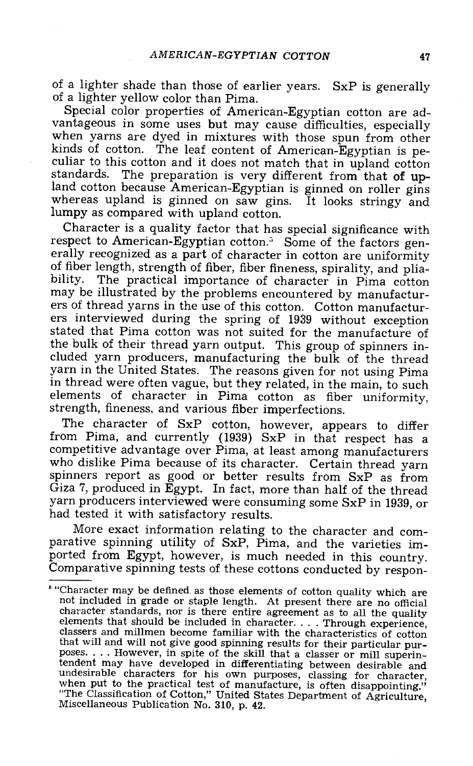of a lighter shade than those of earlier years. SxP is generally of a lighter yellow color than Pima.<br>Special color properties of American-Egyptian cotton are ad-

vantageous in some uses but may cause difficulties, especially when yarns are dyed in mixtures with those spun from other kinds of cotton. The leaf content of American-Egyptian is peculiar to this cotton and it does not ma standards. The preparation is very different from that of upland cotton because American -Egyptian is ginned on roller gins whereas upland is ginned on saw gins. It looks stringy and lumpy as compared with upland cotton.

Character is a quality factor that has special significance with respect to American-Egyptian cotton.<sup>5</sup> Some of the factors generally recognized as a part of character in cotton are uniformity<br>of fiber length, strength of fiber, fiber fineness, spirality, and pliability. The practical importance of character in Pima cotton<br>may be illustrated by the problems encountered by manufactur-<br>ers of thread yarns in the use of this cotton. Cotton manufactur-<br>ers interviewed during the spring stated that Pima cotton was not suited for the manufacture of the bulk of their thread yarn output. This group of spinners included yarn producers, manufacturing the bulk of the thread yarn in the United States. The reasons given for not using Pima<br>in thread were often vague, but they related, in the main, to such elements of character in Pima cotton as fiber uniformity, strength, fineness, and various fiber imperfections.

The character of SxP cotton, however, appears to differ from Pima, and currently (1939) SxP in that respect has a competitive advantage over Pima, at least among manufacturers who dislike Pima because of its character. Certain thread yarn spinners report as good or better results from SxP as from Giza 7, produced in Egypt. In fact, more than half of the thread yarn producers interviewed were consuming some SxP in 1939, or had tested it with satisfactory results.

More exact information relating to the character and comparative spinning utility of SxP, Pima, and the varieties imported from Egypt, however, is much needed in this country.<br>Comparative spinning tests of these cottons conducted by respon-

<sup>&</sup>quot;Character may be defined as those elements of cotton quality which are not included in grade or staple length. At present there are no official character standards, nor is there entire agreement as to all the quality elements that should be included in character.... Through experience, classers and millmen become familiar with the characteristics of cotton that will and will not give good spinning results for their particular purthat will not give good spite of the skill that a classer or mill superin-<br>tendent may have developed in differentiating between desirable and tendent may have developed in differentiating between desirable and undesirable characters for his own purposes, classing for character, when put to the practical test of manufacture, is often disappointing." "The Classification of Cotton," United States Department of Agriculture, Miscellaneous Publication No. 310, p. 42.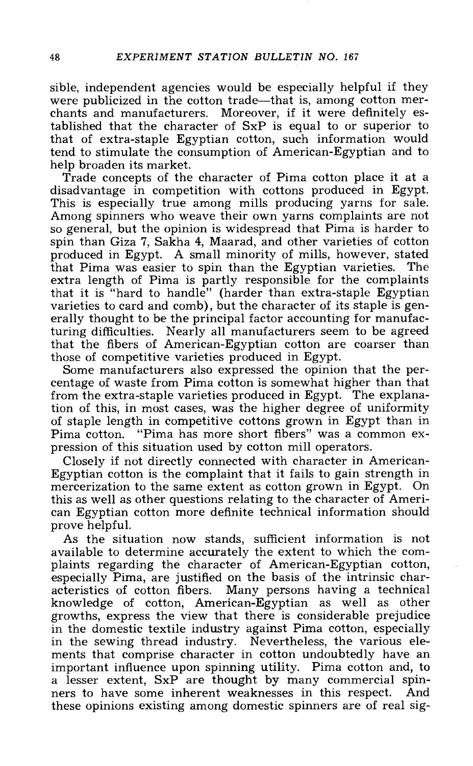sible, independent agencies would be especially helpful if they were publicized in the cotton trade—that is, among cotton mer-<br>chants and manufacturers. Moreover, if it were definitely established that the character of SxP is equal to or superior to that of extra -staple Egyptian cotton, such information would tend to stimulate the consumption of American-Egyptian and to<br>help broaden its market.

Trade concepts of the character of Pima cotton place it at a disadvantage in competition with cottons produced in Egypt.<br>This is especially true among mills producing yarns for sale.<br>Among spinners who weave their own yarn produced in Egypt. A small minority of mills, however, stated that Pima was easier to spin than the Egyptian varieties. The extra length of Pima is partly responsible for the complaints that it is "hard to handle" (harder than extra-staple Egyptian varieties to card and comb), but the character of its staple is gen- erally thought to be the principal factor accounting for manufacturing difficulties. Nearly all manufacturers seem to be agreed that the fibers of American-Egyptian cotton are coarser than those of competitive varieties produced in Egypt.

Some manufacturers also expressed the opinion that the per-<br>centage of waste from Pima cotton is somewhat higher than that<br>from the extra-staple varieties produced in Egypt. The explana-<br>tion of this, in most cases, was th of staple length in competitive cottons grown in Egypt than in Pima cotton. "Pima has more short fibers" was a common expression of this situation used by cotton mill operators.

Closely if not directly connected with character in American-<br>Egyptian cotton is the complaint that it fails to gain strength in<br>mercerization to the same extent as cotton grown in Egypt. On this as well as other questions relating to the character of Ameri- can Egyptian cotton more definite technical information should

prove helpful.<br>As the situation now stands, sufficient information is not<br>available to determine accurately the extent to which the complaints regarding the character of American-Egyptian cotton,<br>especially Pima, are justified on the basis of the intrinsic char-<br>acteristics of cotton fibers. Many persons having a technical<br>knowledge of cotton, American-Eg growths, express the view that there is considerable prejudice in the domestic textile industry against Pima cotton, especially in the sewing thread industry. Nevertheless, the various elements that comprise character in cotton undoubtedly have an important influence upon spinning utility. Pima cotton and, to a lesser extent, SxP are thought by many commercial spin- ners to have some inherent weaknesses in this respect. And these opinions existing among domestic spinners are of real sig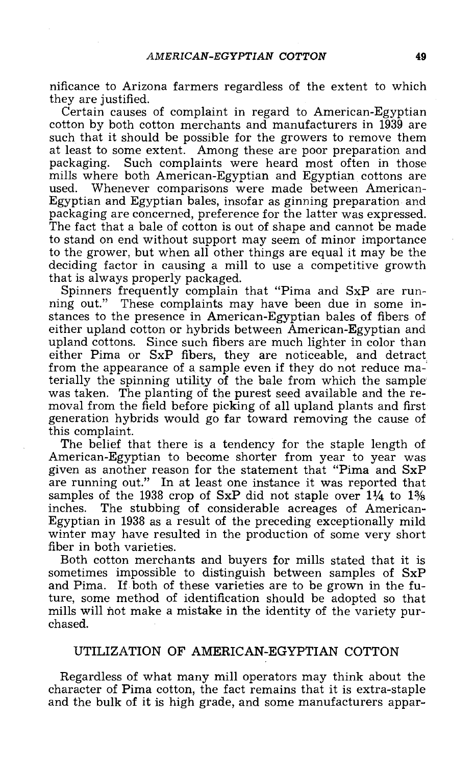nificance to Arizona farmers regardless of the extent to which

Certain causes of complaint in regard to American-Egyptian cotton by both cotton merchants and manufacturers in 1939 are such that it should be possible for the growers to remove them at least to some extent. Among these are poor preparation and packaging. Such complaints were heard most often in those mills where both American-Egyptian and Egyptian cottons are used. Whenever comparisons were made between American-Egyptian and Egyptian bales, insofar as ginning preparation and packaging are concerned, preference for the latter was expressed. The fact that a bale of cotton is out of shape and cannot be made to stand on end without support may seem of minor importance to the grower, but when all other things are equal it may be the deciding factor in causing a mill to use a competitive growth that is always properly packaged.

Spinners frequently complain that "Pima and SxP are running out." These complaints may have been due in some instances to the presence in American-Egyptian bales of fibers of either upland cotton or hybrids between America upland cottons. Since such fibers are much lighter in color than either Pima or SxP fibers, they are noticeable, and detract from the appearance of a sample even if they do not reduce materially the spinning utility of the bale from which the sample was taken. The planting of the purest seed available and the removal from the field before picking of all upland plants and first generation hybrids would go far toward removing the cause of this complaint.

The belief that there is a tendency for the staple length of American-Egyptian to become shorter from year to year was given as another reason for the statement that "Pima and SxP are running out." In at least one instance it was reported that samples of the 1938 crop of  $SxP$  did not staple over  $1\frac{1}{4}$  to  $1\frac{1}{8}$  inches. The stubbing of considerable acreages of American-Egyptian in 1938 as a result of the preceding exceptionally mild winter may have resulted in the production of some very short fiber in both varieties.

Both cotton merchants and buyers for mills stated that it is sometimes impossible to distinguish between samples of SxP and Pima. If both of these varieties are to be grown in the future, some method of identification should be adopted so that mills will not make a mistake in the identity of the variety purchased.

#### UTILIZATION OF AMERICAN-EGYPTIAN COTTON

Regardless of what many mill operators may think about the character of Pima cotton, the fact remains that it is extra -staple and the bulk of it is high grade, and some manufacturers appar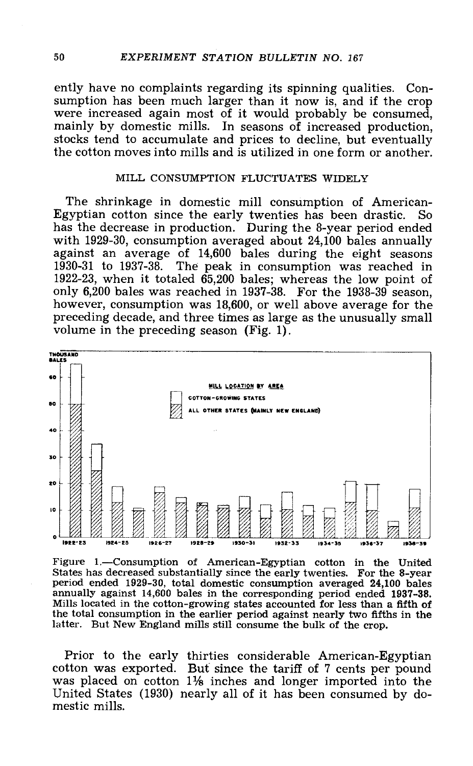ently have no complaints regarding its spinning qualities. Consumption has been much larger than it now is, and if the crop were increased again most of it would probably be consumed,<br>mainly by domestic mills. In seasons of increased production,<br>stocks tend to accumulate and prices to decline, but eventually the cotton moves into mills and is utilized in one form or another.

#### MILL CONSUMPTION FLUCTUATES WIDELY

The shrinkage in domestic mill consumption of American - Egyptian cotton since the early twenties has been drastic. So has the decrease in production. During the 8-year period ended with 1929-30, consumption averaged about 24,100 bales annually against an average of 14,600 bales during the eight seasons<br>1930-31 to 1937-38. The peak in consumption was reached in The peak in consumption was reached in 1922 -23, when it totaled 65,200 bales; whereas the low point of only 6,200 bales was reached in 1937 -38. For the 1938 -39 season, however, consumption was 18,600, or well above average for the preceding decade, and three times as large as the unusually small volume in the preceding season (Fig. 1).



Figure 1.—Consumption of American-Egyptian cotton in the United States has decreased substantially since the early twenties. For the 8-year period ended 1929-30, total domestic consumption averaged 24,100 bales<br>annually against 14,600 bales in the corresponding period ended 1937-38.<br>Mills located in the cotton-growing states accounted for less than a fifth of the total consumption in the earlier period against nearly two fifths in the latter. But New England mills still consume the bulk of the crop.

Prior to the early thirties considerable American-Egyptian cotton was exported. But since the tariff of 7 cents per pound was placed on cotton 11% inches and longer imported into the United States (1930) nearly all of it has been consumed by domestic mills.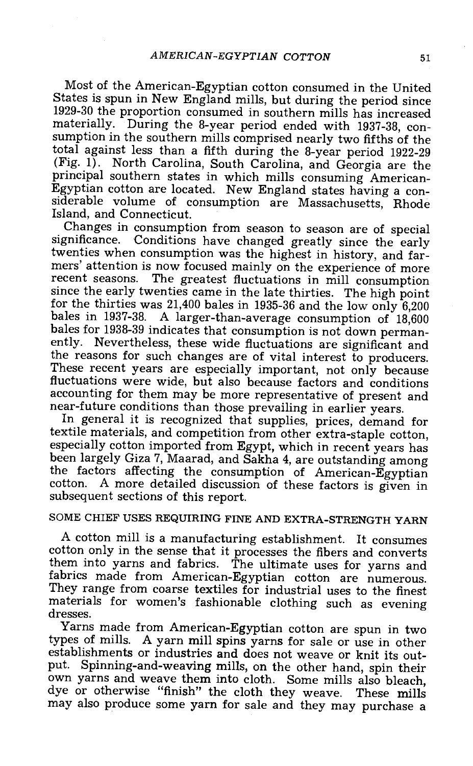Most of the American-Egyptian cotton consumed in the United States is spun in New England mills, but during the period since 1929-30 the proportion consumed in southern mills has increased materially. During the 8-year period ended with 1937-38, consumption in the southern mills comprised nearly two fifths of the total against less than a fifth during the 8-year period 1922-29 (Fig. 1). North Carolina, South Carolina, and Georgia are the principal southern states in which mills consuming American-Egyptian cotton are located. New England states having a considerable volume of consumption are Massachusetts, Rhode Island, and Connecticut.<br>Changes in consumption from season to season are of special

significance. Conditions have changed greatly since the early twenties when consumption was the highest in history, and farmers' attention is now focused mainly on the experience of more<br>recent seasons. The greatest fluctuations in mill consumption recent seasons. The greatest fluctuations in mill consumption since the early twenties came in the late thirties. The high point for the thirties was 21,400 bales in 1935-36 and the low only  $6,200$  bales in 1937-38. A larger-than-average consumption of 18,600 bales for 1938-39 indicates that consumption is not down permanently. Nevertheless, these wide fluctuations are significant and<br>the reasons for such changes are of vital interest to producers. These recent years are especially important, not only because<br>fluctuations were wide, but also because factors and conditions accounting for them may be more representative of present and near-future conditions than those prevailing in earlier years.

In general it is recognized that supplies, prices, demand for textile materials, and competition from other extra-staple cotton. especially cotton imported from Egypt, which in recent years has been largely Giza 7, Maarad, and Sakha 4, are outstanding among the factors affecting the consumption of American-Egyptian cotton. A more detailed discussion of these factors is given in subsequent sections of this report.

#### SOME CHIEF USES REQUIRING FINE AND EXTRA -STRENGTH YARN

A cotton mill is a manufacturing establishment. It consumes cotton only in the sense that it processes the fibers and converts The ultimate uses for yarns and fabrics made from American-Egyptian cotton are numerous. They range from coarse textiles for industrial uses to the finest materials for women's fashionable clothing such as evening dresses.

Yarns made from American -Egyptian cotton are spun in two types of mills. A yarn mill spins yarns for sale or use in other establishments or industries and does not weave or knit its out-<br>put. Spinning-and-weaving mills, on the other hand, spin their own yarns and weave them into cloth. Some mills also bleach, dye or otherwise "finish" the cloth they weave. These mills may also produce some yarn for sale and they may purchase a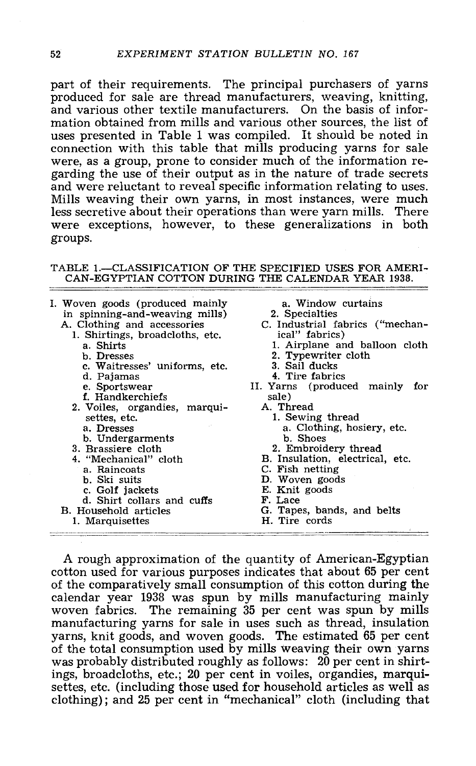part of their requirements. The principal purchasers of yarns produced for sale are thread manufacturers, weaving, knitting, and various other textile manufacturers. On the basis of information obtained from mills and various other sources, the list of uses presented in Table 1 was compiled. It should be noted in connection with this table that mills producing yarns for sale were, as a group, prone to consider much of the information regarding the use of their output as in the nature of trade secrets and were reluctant to reveal specific information relating to uses.<br>Mills weaving their own ya less secretive about their operations than were yarn mills. There were exceptions, however, to these generalizations in both groups.

#### TABLE 1.-CLASSIFICATION OF THE SPECIFIED USES FOR AMERI-CAN- EGYPTIAN COTTON DURING THE CALENDAR YEAR 1938.

I. Woven goods (produced mainly a. Window<br>in spinning-and-weaving mills) 2. Specialties in spinning-and-weaving mills)<br>
A. Clothing and accessories<br>
1. Shirtings, broadcloths, etc.<br>
a. Shirts b. Dresses c. Waitresses' uniforms, etc. d. Pajamas e. Sportswear f. Handkerchiefs 2. Voiles, organdies, marquisettes, etc. a. Dresses b. Undergarments 3. Brassiere cloth 4. "Mechanical" cloth a. Raincoats b. Ski suits d. Shirt collars and cuffs B. Household articles 1. Marquisettes a. Window curtains C. Industrial fabrics ("mechan-<br>ical" fabrics) 1. Airplane and balloon cloth 2. Typewriter cloth 3. Sail ducks 4. Tire fabrics II. Yarns (produced mainly for A. Thread 1. Sewing thread a. Clothing, hosiery, etc. b. Shoes B. Insulation, electrical, etc. C. Fish netting<br>
D. Woven goods<br>
D. Woven goods<br>
E. Knit goods<br>
F. Lace G. Tapes, bands, and belts H. Tire cords

A rough approximation of the quantity of American-Egyptian cotton used for various purposes indicates that about 65 per cent of the comparatively small consumption of this cotton during the calendar year 1938 was spun by mills manufacturing mainly woven fabrics. The remaining 35 per cent was spun by mills manufacturing yarns for sale in uses suc yarns, much consumption used by mills weaving their own yarns was probably distributed roughly as follows: 20 per cent in shirtings, broadcloths, etc.; 20 per cent in voiles, organdies, marquisettes, etc. (including those used for household articles as well as clothing); and 25 per cent in "mechanical" cloth (including that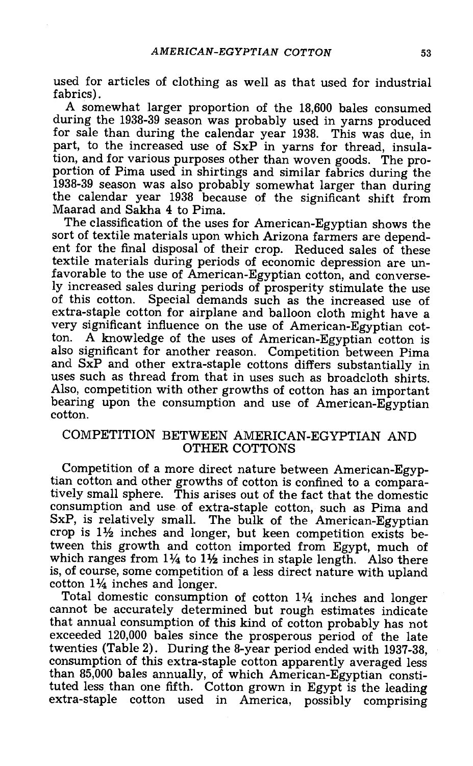used for articles of clothing as well as that used for industrial fabrics). A somewhat larger proportion of the 18,600 bales consumed

during the 1938-39 season was probably used in yarns produced for sale than during the calendar year 1938. This was due, in part, to the increased use of SxP in yarns for thread, insulaportion of Pima used in shirtings and similar fabrics during the 1938-39 season was also probably somewhat larger than during the calendar year 1938 because of the significant shift from Maarad and Sakha 4 to Pima.

The classification of the uses for American-Egyptian shows the sort of textile materials upon which Arizona farmers are dependent for the final disposal of their crop. Reduced sales of these textile materials during periods of economic depression are unfavorable to the use of American-Egyptian cotton, and conversely increased sales during periods of prosperity stimulate the use of this cotton. Special demands such as the increased use of extra-staple cotton for airplane and balloon cloth might have a very significant influence on the use of American-Egyptian cotton. A knowledge of the uses of American -Egyptian cotton is also significant for another reason. Competition between Pima and SxP and other extra -staple cottons differs substantially in uses such as thread from that in uses such as broadcloth shirts. Also, competition with other growths of cotton has an important bearing upon the consumption and use of American-Egyptian cotton.

#### COMPETITION BETWEEN AMERICAN-EGYPTIAN AND OTHER COTTONS

Competition of a more direct nature between American -Egyptian cotton and other growths of cotton is confined to a compara-<br>tively small sphere. This arises out of the fact that the domestic consumption and use of extra-staple cotton, such as Pima and SxP, is relatively small. The bulk of the American-Egyptian crop is  $1\frac{1}{2}$  inches and longer, but keen competition exists be-<br>tween this growth and cotton imported from Egypt, much of which ranges from  $1\frac{1}{4}$  to  $1\frac{1}{2}$  inches in staple length. Also there is, of course, some competition of a less direct nature with upland cotton  $1\frac{1}{4}$  inches and longer.<br>Total domestic consumption of cotton  $1\frac{1}{4}$  inches and longer

cannot be accurately determined but rough estimates indicate<br>that annual consumption of this kind of cotton probably has not exceeded 120,000 bales since the prosperous period of the late twenties (Table 2). During the 8-year period ended with 1937-38. consumption of this extra-staple cotton apparently averaged less than 85,000 bales annually, of which American -Egyptian constituted less than one fifth. Cotton grown in Egypt is the leading extra -staple cotton used in America, possibly comprising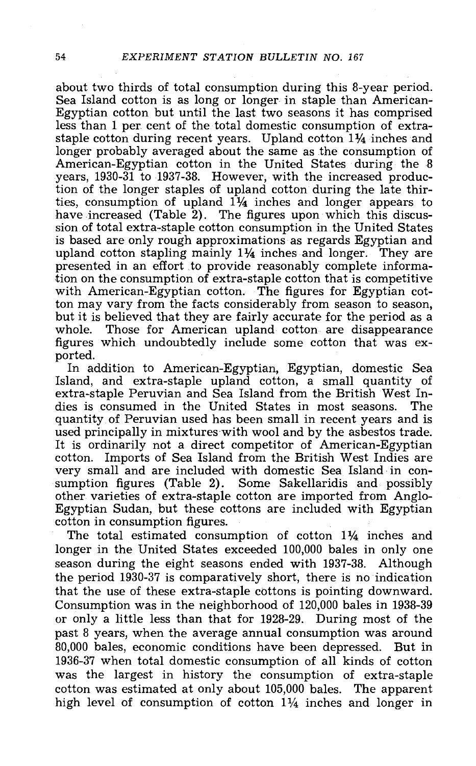about two thirds of total consumption during this 8-year period.<br>Sea Island cotton is as long or longer in staple than American-Egyptian cotton but until the last two seasons it has comprised<br>less than 1 per cent of the to staple cotton during recent years. Upland cotton 11/4 inches and longer probably averaged about the same as the consumption of American-Egyptian cotton in the United States during the 8 years, 1930-31 to 1937-38. However, with the increased production of the longer staples of upland cotton during the late thirties, consumption of upland  $1\frac{1}{4}$  inches and longer appears to have increased (Table 2). The figures upon which this discus- sion of total extra- staple cotton consumption in the United States is based are only rough approximations as regards Egyptian and upland cotton stapling mainly  $1\frac{1}{4}$  inches and longer. They are presented in an effort to provide reasonably complete information on the consumption of extra-staple cotton that is competitive with American-Egyptian cotton. The figures for Egyptian cotton may vary from the facts considerably from season to season. but it is believed that they are fairly accurate for the period as a whole. Those for American upland cotton are disappearance<br>figures which undoubtedly include some cotton that was ex-

figures ported.<br>In addition to American-Egyptian, Egyptian, domestic Sea Island, and extra -staple upland cotton, a small quantity of extra -staple Peruvian and Sea Island from the British West In- dies is consumed in the United States in most seasons. The used principally in mixtures with wool and by the asbestos trade.<br>It is ordinarily not a direct competitor of American-Egyptian<br>cotton. Imports of Sea Island from the British West Indies are cotton. Imports of Sea Island from the British West Indies are<br>very small and are included with domestic Sea Island in con-<br>sumption figures (Table 2). Some Sakellaridis and possibly other varieties of extra -staple cotton are imported from Anglo- Egyptian Sudan, but these cottons are included with Egyptian cotton in consumption figures.

The total estimated consumption of cotton  $1\frac{1}{4}$  inches and longer in the United States exceeded 100,000 bales in only one season during the eight seasons ended with 1937-38. Although the period 1930-37 is comparatively short, there is no indication that the use of these extra -staple cottons is pointing downward. Consumption was in the neighborhood of 120,000 bales in 1938-39 or only a little less than that for 1928 -29. During most of the past 8 years, when the average annual consumption was around 80,000 bales, economic conditions have been depressed. But in was the largest in history the consumption of extra-staple cotton was estimated at only about 105,000 bales. The apparent high level of consumption of cotton  $1\frac{1}{4}$  inches and longer in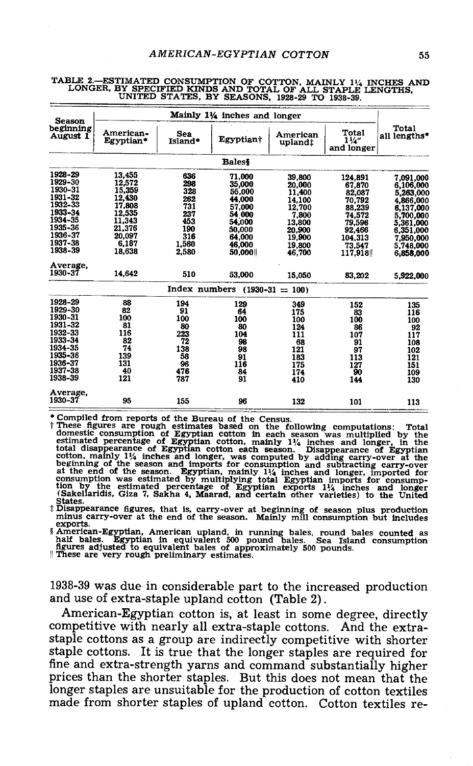| <b>Season</b>         |                        |                | Mainly 11/4 inches and longer     |                     |                                       |                        |
|-----------------------|------------------------|----------------|-----------------------------------|---------------------|---------------------------------------|------------------------|
| beginning<br>August 1 | American-<br>Egyptian* | Sea<br>Island* | Egyptian†                         | American<br>upland: | Total<br>$1\frac{1}{4}$<br>and longer | Total<br>all lengths*  |
|                       |                        |                | <b>Baless</b>                     |                     |                                       |                        |
| 1928-29               | 13.455                 | 636            | 71,000                            | 39,800              | 124,891                               | 7.091.000              |
| 1929-30               | 12,572                 | 298            | 35,000                            | 20,000              | 67.870                                | 6,106,000              |
| 1930-31               | 15,359                 | 328            | 55,000                            | 11,400              | 82.087                                | 5,263,000              |
| 1931-32               | 12,430                 | 262            | 44,000                            | 14,100              | 70,792                                | 4,866,000              |
| 1932-33               | 17,808                 | 731            | 57,000                            | 12,700              | 88,239                                | 6,137,000              |
| 1933-34               | 12.535                 | 237            | 54 000                            | 7,800               | 74,572                                | 5,700,000              |
| 1934-35               | 11,343                 | 453            | 54,000                            | 13,800              | 79,596                                | 5,361,000              |
| 1935-36               | 21,376                 | 190            | 50,000                            | 20,900              | 92,466                                | 6,351,000              |
| 1936-37               | 20,097                 | 316            | 64.000                            | 19,900              | 104,313                               | 7,950,000              |
| 1937-38               | 6.187                  | 1,560          | 46,000                            | 19,800              | 73.547                                |                        |
| 1938-39               | 18,638                 | 2.580          | 50,000                            | 46,700              | 117,918                               | 5,748,000<br>6.858.000 |
| Average.              |                        |                |                                   |                     |                                       |                        |
| 1930-37               | 14,642                 | 510            | 53,000                            | 15,050              | 83.202                                | 5,922,000              |
|                       |                        |                | Index numbers $(1930 - 31 = 100)$ |                     |                                       |                        |
| 1928-29               | 88                     | 194            | 129                               | 349                 | 152                                   | 135                    |
| 1929-30               | 82                     | 91             | 64                                | 175                 | 83                                    | 116                    |
| 1930-31               | 100                    | 100            | 100                               | 100                 | 100                                   | 100                    |
| 1931-32               | 81                     | 80             | 80                                | 124                 | 86                                    | 92                     |
| 1932-33               | 116                    | 223            | 104                               | 111                 | 107                                   | 117                    |
| 1933-34               | 82                     | 72             | 98                                | 68                  | 91                                    | 108                    |
| 1934-35               | 74                     | 138            | 98                                | 121                 | 97                                    | 102                    |
| 1935-36               | 139                    | 58             | 91                                | 183                 | 113                                   | 121                    |
| 1936-37               | 131                    | 96             | 116                               | 175                 | 127                                   | 151                    |
| 1937-38               | 40                     | 476            | 84                                | 174                 | 90                                    | 109                    |
| 1938-39               | 121                    | 787            | 91                                | 410                 | 144                                   | 130                    |
| Average.              |                        |                |                                   |                     |                                       |                        |
| 1930-37               | 95                     | 155            | 96                                | 132                 | 101                                   | 113                    |

# TABLE 2.--ESTIMATED CONSUMPTION OF COTTON, MAINLY 1½ INCHES AND<br>LONGER, BY SPECIFIED KINDS AND TOTAL OF ALL STAPLE LENGTHS,<br>UNITED STATES, BY SEASONS, 1928-29 TO 1938-39.

Compiled from reports of the Bureau of the Census.<br>
These figures are rough estimates based on the following computations: Total<br>
domestic consumption of Egyptian cotton in each season was multiplied by the<br>
estimated per

exports.<br>
§ American-Egyptian, American upland, in running bales, round bales counted as<br>
half bales. Egyptian in equivalent 500 pound bales. Sea Island consumption<br>
figures adjusted to equivalent bales of approximately 50

1938 -39 was due in considerable part to the increased production and use of extra -staple upland cotton (Table 2).

American-Egyptian cotton is, at least in some degree, directly competitive with nearly all extra-staple cottons. And the extracompetitive with nearly all extra-staple cottons. And the extra-<br>staple cottons as a group are indirectly competitive with shorter<br>staple cottons. It is true that the longer staples are required for<br>fine and extra-strength prices than the shorter staples. But this does not mean that the longer staples are unsuitable for the production of cotton textiles made from shorter staples of upland cotton. Cotton textiles re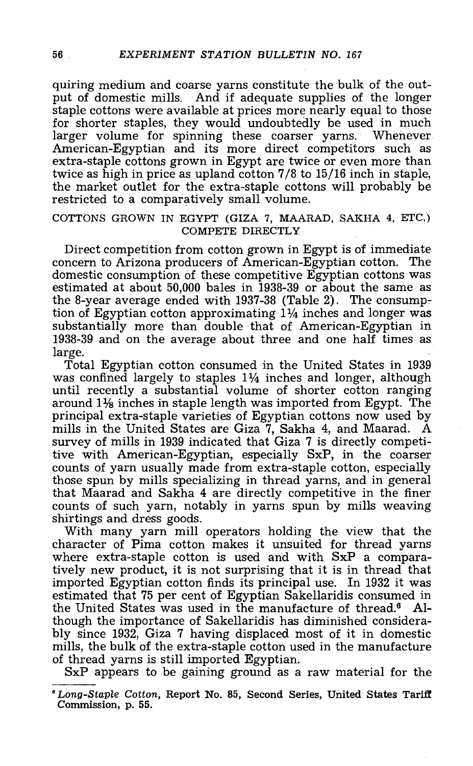quiring medium and coarse yarns constitute the bulk of the out-<br>put of domestic mills. And if adequate supplies of the longer<br>staple cottons were available at prices more nearly equal to those for shorter staples, they would undoubtedly be used in much larger volume for spinning these coarser yarns. Whenever. American-Egyptian and its more direct competitors such as extra-staple cottons grown in Egypt are twice or even more than twice as high in price as upland cotton 7/8 to 15/16 inch in staple, the market outlet for the extra -staple cottons will probably be restricted to a comparatively small volume.

#### COTTONS GROWN IN EGYPT (GIZA 7, MAARAD, SAKHA 4, ETC,) COMPETE DIRECTLY

Direct competition from cotton grown in Egypt is of immediate concern to Arizona producers of American-Egyptian cotton. The domestic consumption of these competitive Egyptian cottons was estimated at about 50,000 bales in 1938-39 or about the same as the 8-year average ended with 1937-38 (Table 2). The consumption of Egyptian cotton approximating  $1\frac{1}{4}$  inches and longer was substantially more than double that of American-Egyptian in 1938 -39 and on the average about three and one half times as

large.<br>Total Egyptian cotton consumed in the United States in 1939 was confined largely to staples  $1\frac{1}{4}$  inches and longer, although until recently a substantial volume of shorter cotton ranging around  $1\frac{1}{8}$  inc principal extra-staple varieties of Egyptian cottons now used by mills in the United States are Giza 7, Sakha 4, and Maarad. A survey of mills in 1939 indicated that Giza 7 is directly competitive with American-Egyptian, especially SxP, in the coarser counts of yarn usually made from extra-staple cotton, especially those spun by mills specializing in thread yarns, and in general that Maarad and Sakha 4 are directly competitive in the finer counts of such yarn, notably in yarns spun by mills weaving shirtings and dress goods.

With many yarn mill operators holding the view that the character of Pima cotton makes it unsuited for thread yarns where extra -staple cotton is used and with SxP a comparatively new product, it is not surprising that it is in thread that imported Egyptian cotton finds its principal use. In 1932 it was estimated that 75 per cent of Egyptian Sakellaridis consumed in the United States was used in the manufacture of thread.<sup>6</sup> Altiough the importance of Sakellaridis has diminished considerably since 1932, Giza 7 having displaced most of it in domestic<br>mills, the bulk of the extra-staple cotton used in the manufacture<br>of thread yarns is still imported Egyptian.<br>SxP appears to be gaining ground as a raw materi

<sup>°</sup> Long- Staple Cotton, Report No. 85, Second Series, United States Tariff Commission, p. 55.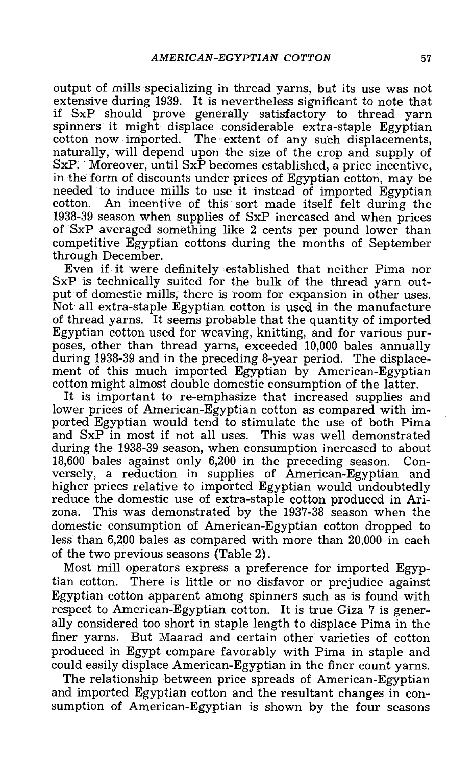output of mills specializing in thread yarns, but its use was not extensive during 1939. It is nevertheless significant to note that if SxP should prove generally satisfactory to thread yarn spinners it might displace considerable extra-staple Egyptian cotton now imported. The extent of any such displacements, naturally, will depend upon the size of the crop and supply of SxP. Moreover, until SxP becomes established, a price incentive, in the form of discounts under prices of Egyptian cotton, may be needed to induce mills to use 1938-39 season when supplies of SxP increased and when prices of SxP averaged something like 2 cents per pound lower than competitive Egyptian cottons during the months of September

Even if it were definitely established that neither Pima nor<br>SxP is technically suited for the bulk of the thread yarn out-<br>put of domestic mills, there is room for expansion in other uses.<br>Not all extra-staple Egyptian co ment of this much imported Egyptian by American-Egyptian<br>cotton.might.almost.double.domestic.consumption of the latter.

It is important to re-emphasize that increased supplies and<br>lower prices of American-Egyptian cotton as compared with imported Egyptian would tend to stimulate the use of both Pima<br>and SxP in most if not all uses. This was well demonstrated during the 1938-39 season, when consumption increased to about 18,600 bales against only 6,200 in the preceding season. Conversely, a reduction in supplies of American-Egyptian and higher prices relative to imported Egyptian would undoubtedly reduce the domestic use of extra-staple cotton produced in Arizona. This was demonstrated by the 1937 -38 season when the domestic consumption of American -Egyptian cotton dropped to less than 6,200 bales as compared with more than 20,000 in each of the two previous seasons (Table 2).

Most mill operators express a preference for imported Egyptian cotton. There is little or no disfavor or prejudice against Egyptian cotton apparent among spinners such as is found with respect to American-Egyptian cotton. It is true Giza 7 is generally considered too short in staple length to displace Pima in the finer yarns. But Maarad and certain other varieties of cotton produced in Egypt compare favorably with Pima in staple and could easily displace American-Egyptian in the finer count yarns.

The relationship between price spreads of American-Egyptian and imported Egyptian cotton and the resultant changes in con- sumption of American -Egyptian is shown by the four seasons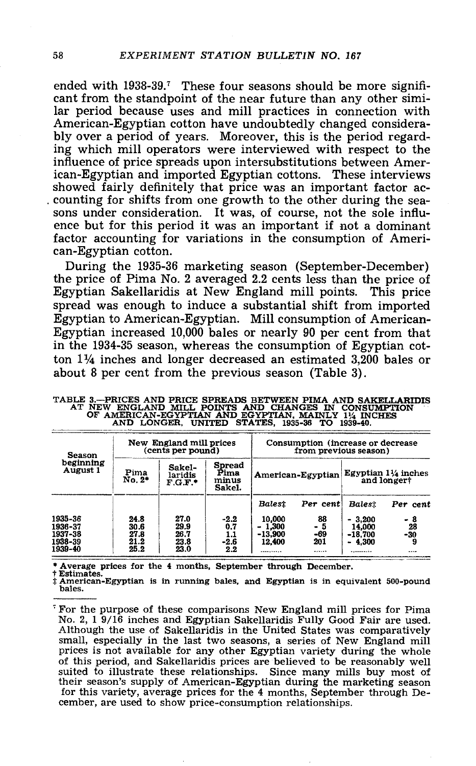ended with 1938-39.<sup>7</sup> These four seasons should be more significant from the standpoint of the near future than any other similar period because uses and mill practices in connection with American-Egyptian cotton have undoubtedly changed considera-<br>bly over a period of years. Moreover, this is the period regarding which mill operators were interviewed with respect to the influence of price spreads upon intersubstitutions between American- Egyptian and imported Egyptian cottons. These interviews showed fairly definitely that price was an important factor ac-<br>counting for shifts from one growth to the other during the seasons under consideration. It was, of course, not the sole influence but for this period it was an important if not a dominant factor accounting for variations in the consumption of American-Egyptian cotton.

During the 1935-36 marketing season (September-December) the price of Pima No. 2 averaged 2.2 cents less than the price of Egyptian Sakellaridis at New England mill points. This price spread was enough to induce a substantial shift from imported Egyptian to American-Egyptian. Mill consumption of American-Egyptian increased 10,000 bales or nearly 90 per cent from that in the 1934-35 season, whereas the consumption of Egyptian cotton 1% inches and longer decreased an estimated 3,200 bales or about 8 per cent from the previous season (Table 3).

| Season                                              |                                      | New England mill prices<br>(cents per pound) |                                       |                                               |                                       | Consumption (increase or decrease)<br>from previous season) |                                               |  |
|-----------------------------------------------------|--------------------------------------|----------------------------------------------|---------------------------------------|-----------------------------------------------|---------------------------------------|-------------------------------------------------------------|-----------------------------------------------|--|
| beginning<br>August 1                               | Pima<br>No. 2*                       | Sakel-<br>laridis<br>$F.G.F.*$               | Spread<br>Pima<br>minus<br>Sakel.     |                                               | American-Egyptian                     |                                                             | Egyptian $1\frac{1}{4}$ inches<br>and longert |  |
|                                                     |                                      |                                              |                                       | <b>Balest</b>                                 | Per cent                              | Balest                                                      | Per cent                                      |  |
| 1935-36<br>1936-37<br>1937-38<br>1938-39<br>1939-40 | 24.8<br>30.6<br>27.8<br>21.2<br>25.2 | 27.0<br>29.9<br>26.7<br>23.8<br>23.0         | $-2.2$<br>0.7<br>1.1<br>$-2.6$<br>2.2 | 10.000<br>$-1.300$<br>$-13.900$<br>12,400<br> | 88<br>- 5<br>$-69$<br>201<br>1.111111 | $-3.200$<br>14.000<br>$-18,700$<br>4.300<br>۰<br>           | - 8<br>28<br>$-30$<br>                        |  |

TABLE 3.--PRICES AND PRICE SPREADS BETWEEN PIMA AND SAKELLARIDIS<br>AT NEW ENGLAND MILL POINTS AND CHANGES IN CONSUMPTION<br>OF AMERICAN-EGYPTIAN AND EGYPTIAN, MAINLY 11/4 INCHES<br>AND LONGER, UNITED STATES, 1935-36 TO 1939-40.

\* Average prices for the 4 months, September through December.<br>† Estimates.<br>‡ American-Egyptian is in running bales, and Egyptian is in equivalent 500-pound bales.

For the purpose of these comparisons New England mill prices for Pima No. 2, 1 9/16 inches and Egyptian Sakellaridis Fully Good Fair are used. Although the use of Sakellaridis in the United States was comparatively small, prices is not available for any other Egyptian variety during the whole<br>of this period, and Sakellaridis prices are believed to be reasonably well<br>suited to illustrate these relationships. Since many mills buy most of their season's supply of American-Egyptian during the marketing season for this variety, average prices for the 4 months, September through De- cember, are used to show price -consumption relationships.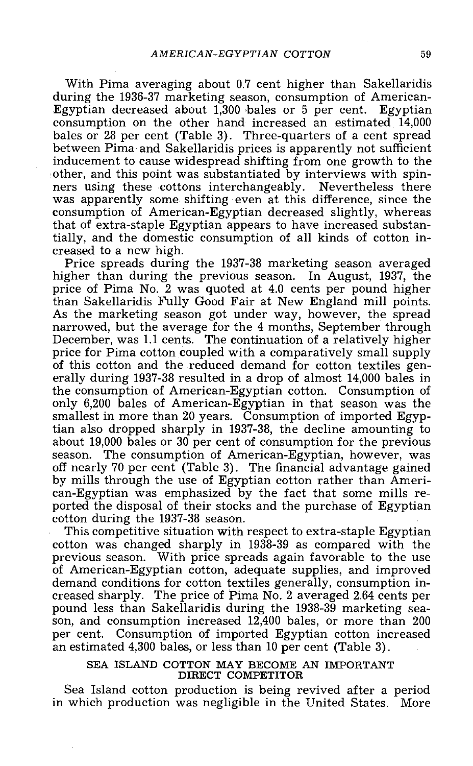With Pima averaging about 0.7 cent higher than Sakellaridis during the 1936-37 marketing season, consumption of American-<br>Egyptian decreased about 1,300 bales or 5 per cent. Egyptian consumption on the other hand increased an estimated 14,000 bales or 28 per cent (Table 3). Three-quarters of a cent spread between Pima and Sakellaridis prices is apparently not sufficient inducement to cause widespread shifting from one growth to the other, and this point was substantiated by interviews with spinners using these cottons interchangeably. Nevertheless there was apparently some shifting even at this difference, since the consumption of American-Egyptian decreased slightly, whereas that of extra-staple Egyptian appears to have increased substantially, and the domestic consumption of all kinds of cotton in-

creased to a new high.<br>Price spreads during the 1937-38 marketing season averaged<br>higher than during the previous season. In August, 1937, the<br>price of Pima No. 2 was quoted at 4.0 cents per pound higher<br>than Sakellaridis As the marketing season got under way, however, the spread narrowed, but the average for the 4 months, September through<br>December, was 1.1 cents. The continuation of a relatively higher<br>price for Pima cotton coupled with a comparatively small supply<br>of this cotton and the reduced only 6,200 bales of American-Egyptian in that season was the smallest in more than 20 years. Consumption of imported Egyptian also dropped sharply in 1937-38, the decline amounting to about 19,000 bales or 30 per cent of consumption for the previous season. The consumption of American-Egyptian, however, was<br>off nearly 70 per cent (Table 3). The financial advantage gained<br>by mills through the use of Egyptian cotton rather than Ameri-<br>can-Egyptian was emphasized by the

This competitive situation with respect to extra-staple Egyptian<br>cotton was changed sharply in 1938-39 as compared with the previous season. With price spreads again favorable to the use<br>of American-Egyptian cotton, adequate supplies, and improved<br>demand conditions for cotton textiles generally, consumption increased sharply. The price of Pima No. 2 averaged 2.64 cents per<br>pound less than Sakellaridis during the 1938-39 marketing sea-<br>son, and consumption increased 12,400 bales, or more than 200 per cent. Consumption of imported Egyptian cotton increased an estimated 4,300 bales, or less than 10 per cent (Table 3).

#### SEA ISLAND COTTON MAY BECOME AN IMPORTANT DIRECT COMPETITOR

Sea Island cotton production is being revived after a period in which production was negligible in the United States. More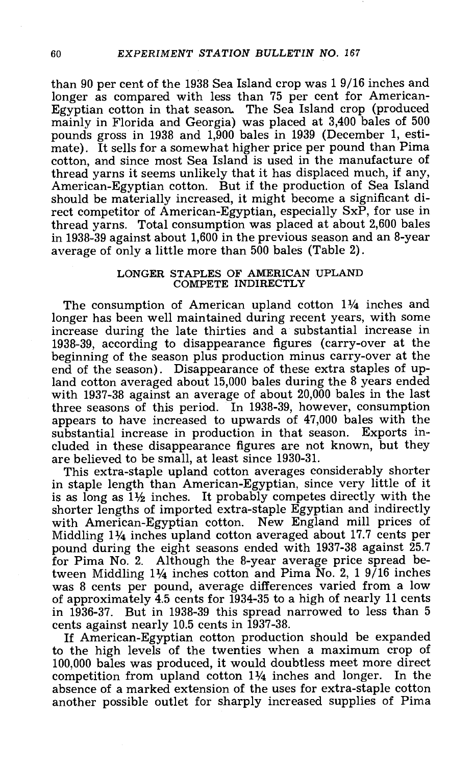than 90 per cent of the 1938 Sea Island crop was 1 9/16 inches and longer as compared with less than 75 per cent for American-Egyptian cotton in that season. The Sea Island crop (produced mainly in Florida and Georgia) was placed at 3,400 bales of 500 pounds gross in 1938 and 1,900 bales in 1939 (December 1, esticotton, and since most Sea Island is used in the manufacture of thread yarns it seems unlikely that it has displaced much, if any, American -Egyptian cotton. But if the production of Sea Island should be materially increased, it might become a significant direct competitor of American-Egyptian, especially SxP, for use in thread yarns. Total consumption was placed at about 2,600 bales in 1938 -39 against about 1,600 in the previous season and an 8 -year average of only a little more than 500 bales (Table 2) .

#### LONGER STAPLES OF AMERICAN UPLAND COMPETE INDIRECTLY

The consumption of American upland cotton 1<sup>1</sup>/4 inches and longer has been well maintained during recent years, with some increase during the late thirties and a substantial increase in 1938 -39, according to disappearance figures (carry -over at the beginning of the season plus production minus carry -over at the end of the season). Disappearance of these extra staples of up-<br>land cotton averaged about 15,000 bales during the 8 years ended with 1937-38 against an average of about 20,000 bales in the last three seasons of this period. In 1938-39, however, consumption appears to have increased to upwards of 47,000 bales with the substantial increase in production in that season. Exports included in these disappearance figures are not known, but they are believed to be small, at least since 1930 -31.

This extra -staple upland cotton averages considerably shorter in staple length than American -Egyptian, since very little of it is as long as  $1\frac{1}{2}$  inches. It probably competes directly with the shorter lengths of imported extra-staple Egyptian and indirectly<br>with American-Egyptian cotton. New England mill prices of<br>Middling 1¼ inches upland cotton averaged about 17.7 cents per pound during the eight seasons ended with 1937-38 against  $25.7$ for Pima No. 2. Although the 8-year average price spread between Middling 11/4 inches cotton and Pima No. 2, 1 9/16 inches was 8 cents per pound, average differences varied from a low of approximately 4.5 cents for 1934 -35 to a high of nearly 11 cents in 1936-37. But in 1938-39 this spread narrowed to less than 5 cents against nearly 10.5 cents in 1937-38.

If American-Egyptian cotton production should be expanded<br>to the high levels of the twenties when a maximum crop of  $100,000$  bales was produced, it would doubtless meet more direct competition from upland cotton 11/4 inches and longer. In the absence of a marked extension of the uses for extra -staple cotton another possible outlet for sharply increased supplies of Pima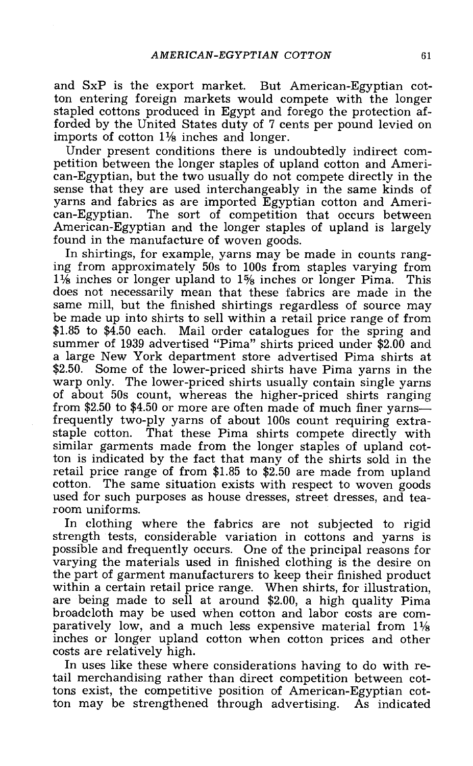and SxP is the export market. But American-Egyptian cotton entering foreign markets would compete with the longer stapled cottons produced in Egypt and forego the protection afforded by the United States duty of 7 cents per pound levied on imports of cotton  $1\frac{1}{8}$  inches and longer.

Under present conditions there is undoubtedly indirect competition between the longer staples of upland cotton and Ameri-<br>can-Egyptian, but the two usually do not compete directly in the sense that they are used interchangeably in the same kinds of<br>yarns and fabrics as are imported Egyptian cotton and Ameri-<br>can-Egyptian. The sort of competition that occurs between<br>American-Egyptian and the longer staples found in the manufacture of woven goods.

In shirtings, for example, yarns may be made in counts ranging from approximately 50s to 100s from staples varying from  $1\frac{1}{8}$  inches or longer upland to  $1\frac{1}{8}$  inches or longer Pima. This does not necessarily mean that these fabrics are made in the same mill, but the finished shirtings regardless of source may be made up into shirts to sell within a retail price range of from \$1.85 to \$4.50 each. Mail order catalogues for the spring and summer of 1939 advertised "Pima" shirts priced under \$2.00 and a large New York department store advertised Pima shirts at warp only. The lower-priced shirts usually contain single yarns of about 50s count, whereas the higher-priced shirts ranging from \$2.50 to \$4.50 or more are often made of much finer yarns—<br>frequently two-ply yarns of about 100s count requiring extrastaple cotton. That these Pima shirts compete directly with similar garments made from the longer staples of upland cotton is indicated by the fact that many of the shirts sold in the retail price range of from \$1.85 to \$2.50 are made from upland cotton. The same situation exists with respect to woven goods used for such purposes as house dresses, street dresses, and tearoom uniforms.

In clothing where the fabrics are not subjected to rigid strength tests, considerable variation in cottons and yarns is possible and frequently occurs. One of the principal reasons for varying the materials used in finished clothing is the desire on the part of garment manufacturers to keep their finished product within a certain retail price range. When shirts, for illustration, are being made to sell at around \$2.00, a high quality Pima broadcloth may be used when cotton and labor costs are comparatively low, and a much less exp

In uses like these where considerations having to do with retail merchandising rather than direct competition between cottons exist, the competitive position of American -Egyptian cotton may be strengthened through advertising. As indicated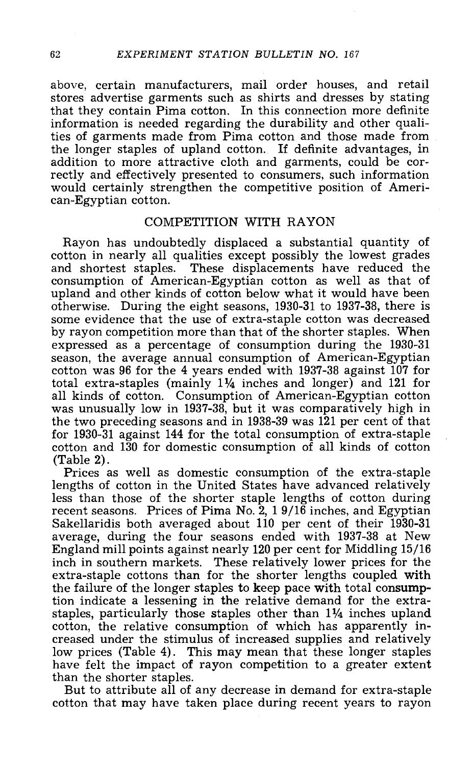above, certain manufacturers, mail order houses, and retail stores advertise garments such as shirts and dresses by stating that they contain Pima cotton. In this connection more definite information is needed regarding the durability and other qualities of garments made from Pima cotton and those made from the longer staples of upland cotton. If definite advantages, in addition to more attractive cloth and garments, could be cor-<br>rectly and effectively presented to consumers, such information would certainly strengthen the competitive position of Ameri-<br>can-Egyptian cotton.

#### COMPETITION WITH RAYON

Rayon has undoubtedly displaced a substantial quantity of cotton in nearly all qualities except possibly the lowest grades and shortest staples. These displacements have reduced the consumption of American -Egyptian cotton as well as that of upland and other kinds of cotton below what it would have been otherwise. During the eight seasons, 1930 -31 to 1937 -38, there is some evidence that the use of extra-staple cotton was decreased by rayon competition more than that of the shorter staples. When expressed as a percentage of consumption during the 1930-31 season, the average annual consumption of American-Egyptian cotton was 96 for the 4 years ended with 1937 -38 against 107 for total extra-staples (mainly  $1\frac{1}{4}$  inches and longer) and 121 for all kinds of cotton. Consumption of American-Egyptian cotton was unusually low in 1937-38, but it was comparatively high in the two preceding seasons a for 1930-31 against 144 for the total consumption of extra-staple cotton and 130 for domestic consumption of all kinds of cotton (Table 2).

Prices as well as domestic consumption of the extra-staple lengths of cotton in the United States have advanced relatively less than those of the shorter staple lengths of cotton during recent seasons. Prices of Pima No. 2, 1 9/16 inches, and Egyptian Sakellaridis both averaged about 110 per cent of their 1930 -31 average, during the four seasons ended with 1937-38 at New England mill points against nearly 120 per cent for Middling 15/16 inch in southern markets. These relatively lower prices for the extra-staple cottons than for the shorter lengths coupled with the failure of the longer staples to keep pace with total consumption indicate a lessening in the relative demand for the extrastaples, particularly those staples other than 11/4 inches upland cotton, the relative consumption of which has apparently increased under the stimulus of increased supplies and relatively<br>low prices (Table 4). This may mean that these longer staples have felt the impact of rayon competition to a greater extent than the shorter staples.

But to attribute all of any decrease in demand for extra-staple cotton that may have taken place during recent years to rayon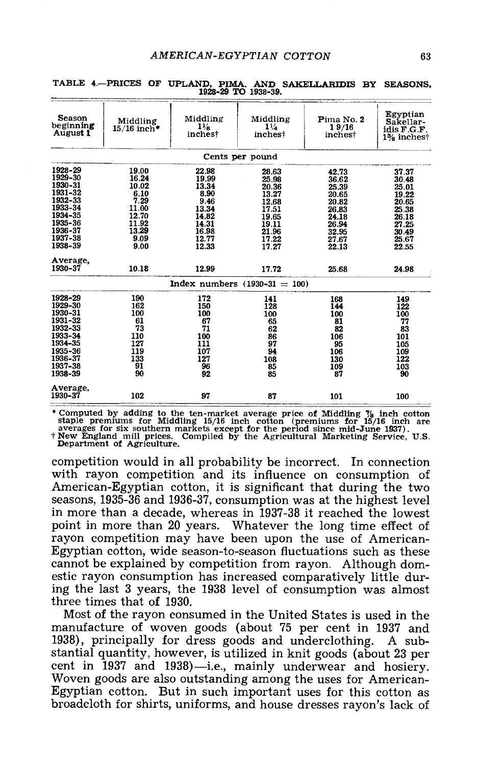| <b>Season</b><br>beginning<br>August 1 | Middling<br>$15/16$ inch* | Middling<br>$1\frac{1}{2}$<br>inchest | Middling<br>$1\frac{1}{4}$<br>inches! | Pima No. 2<br>19/16<br>inchest | Egyptian<br>Sakellar-<br>idis F.G.F.<br>1% inchest |
|----------------------------------------|---------------------------|---------------------------------------|---------------------------------------|--------------------------------|----------------------------------------------------|
|                                        |                           |                                       | Cents per pound                       |                                |                                                    |
| 1928-29                                | 19.00                     | 22.98                                 | 28.63                                 | 42.73                          | 37.37                                              |
| 1929-30                                | 16.24                     | 19.99                                 | 25.98                                 | 36.62                          | 30.48                                              |
| 1930-31                                | 10.02                     | 13.34                                 | 20.36                                 | 25.39                          | 25.01                                              |
| 1931-32                                | 6.10                      | 8.90                                  | 13.27                                 | 20.65                          | 19.22                                              |
| 1932-33                                | 7.29                      | 9.46                                  | 12.68                                 | 20.82                          | 20.65                                              |
| 1933-34                                | 11.00                     | 13.34                                 | 17.51                                 | 26.83                          | 25.38                                              |
| 1934-35                                | 12.70                     | 14.82                                 | 19.65                                 | 24.18                          | 26.18                                              |
| 1935-36                                | 11.92                     | 14.31                                 | 19.11                                 | 26.94                          | 27.25                                              |
| 1936-37                                | 13.29                     | 16.98                                 | 21.96                                 | 32.95                          | 30.49                                              |
| 1937-38                                | 9.09                      | 12.77                                 | 17.22                                 | 27.67                          | 25.67                                              |
| 1938-39                                | 9.00                      | 12.33                                 | 17.27                                 | 22.13                          | 22.55                                              |
| Average.                               |                           |                                       |                                       |                                |                                                    |
| 1930-37                                | 10.18                     | 12.99                                 | 17.72                                 | 25.68                          | 24.98                                              |
|                                        |                           |                                       | Index numbers $(1930 - 31 = 100)$     |                                |                                                    |
| 1928-29                                | 190                       | 172                                   | 141                                   | 168                            | 149                                                |
| 1929-30                                | 162                       | 150                                   | 128                                   | 144                            | 122                                                |
| 1930-31                                | 100                       | 100                                   | 100                                   | 100                            | 100                                                |
| 1931-32                                | 61                        | 67                                    | 65                                    | 81                             | 77                                                 |
| 1932-33                                | 73                        | 71                                    | 62                                    | 82                             | 83                                                 |
| 1933-34                                | 110                       | 100                                   | 86                                    | 106                            | 101                                                |
| 1934-35                                | 127                       | 111                                   | 97                                    | 95                             | 105                                                |
| 1935-36                                | 119                       | 107                                   | 94                                    | 106                            | 109                                                |
| 1936-37                                | 133                       | 127                                   | 108                                   | 130                            | 122                                                |
| 1937-38                                | 91                        | 96                                    | 85                                    | 109                            | 103                                                |
| 1938-39                                | 90                        | 92                                    | 85                                    | 87                             | 90                                                 |
| Average,                               |                           |                                       |                                       |                                |                                                    |
| 1930-37                                | 102                       | 97                                    | 87                                    | 101                            | 100                                                |

|  |  |                     | TABLE 4.-PRICES OF UPLAND, PIMA. AND SAKELLARIDIS BY SEASONS, |  |  |
|--|--|---------------------|---------------------------------------------------------------|--|--|
|  |  | 1928-29 TO 1938-39. |                                                               |  |  |

\* Computed by adding to the ten-market average price of Middling  $\frac{7}{8}$  inch cotton staple premiums for Middling 15/16 inch cotton (premiums for 15/16 inch are averages for six southern markets except for the period si

competition would in all probability be incorrect. In connection American-Egyptian cotton, it is significant that during the two seasons, 1935 -36 and 1936 -37, consumption was at the highest level in more than a decade, whereas in 1937 -38 it reached the lowest point in more than 20 years. Whatever the long time effect of<br>rayon competition may have been upon the use of American-<br>Egyptian cotton, wide season-to-season fluctuations such as these<br>cannot be explained by competition f ing the last 3 years, the 1938 level of consumption was almost three times that of 1930.

Most of the rayon consumed in the United States is used in the manufacture of woven goods (about 75 per cent in 1937 and stantial quantity, however, is utilized in knit goods (about 23 per<br>cent in 1937 and 1938)—i.e., mainly underwear and hosiery.<br>Woven goods are also outstanding among the uses for American-<br>Egyptian cotton. But in such impo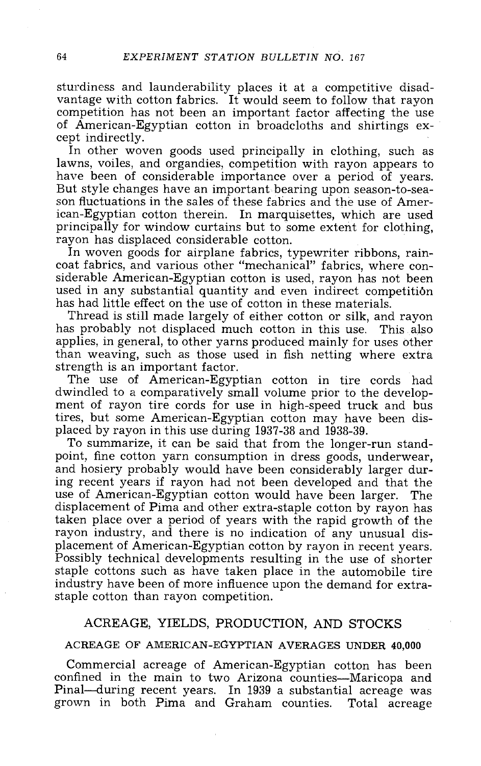sturdiness and launderability places it at a competitive disad- vantage with cotton fabrics. It would seem to follow that rayon competition has not been an important factor affecting the use of American-Egyptian cotton in broadcloths and shirtings ex-<br>cept indirectly. In other woven goods used principally in clothing, such as<br>lawns, voiles, and org

have been of considerable importance over a period of years.<br>But style changes have an important bearing upon season-to-season fluctuations in the sales of these fabrics and the use of American-Egyptian cotton therein. In marquisettes, which are used

rayon has displaced considerable cotton.<br>In woven goods for airplane fabrics, typewriter ribbons, rain-<br>coat fabrics, and various other "mechanical" fabrics, where considerable American -Egyptian cotton is used, rayon has not been used in any substantial quantity and even indirect competition has had little effect on the use of cotton in these materials.

Thread is still made largely of either cotton or silk, and rayon has probably not displaced much cotton in this use. This also applies, in general, to other yarns produced mainly for uses other than weaving, such as those used in fish netting where extra strength is an important factor.

The use of American-Egyptian cotton in tire cords had dwindled to a comparatively small volume prior to the development of rayon tire cords for use in high-speed truck and bus tires, but some American-Egyptian cotton may have been dis-<br>placed by rayon in this use during 1937-38 and 1938-39.

To summarize, it can be said that from the longer-run stand-<br>point, fine cotton yarn consumption in dress goods, underwear,<br>and hosiery probably would have been considerably larger during recent years if rayon had not been developed and that the use of American -Egyptian cotton would have been larger. The displacement of Pima and other extra-staple cotton by rayon has taken place over a period of years with the rapid growth of the rayon industry, and there is no indication of any unusual dis-<br>placement of American-Egyptian cotton by rayon in recent years. Possibly technical developments resulting in the use of shorter staple cottons such as have taken place in the automobile tire industry have been of more influence upon the demand for extra- staple cotton than rayon competition.

#### ACREAGE, YIELDS, PRODUCTION, AND STOCKS

#### ACREAGE OF AMERICAN -EGYPTIAN AVERAGES UNDER 40,000

Commercial acreage of American-Egyptian cotton has been confined in the main to two Arizona counties—Maricopa and Pinal—during recent years. In 1939 a substantial acreage was<br>grown in both Pima and Graham counties. Total acreage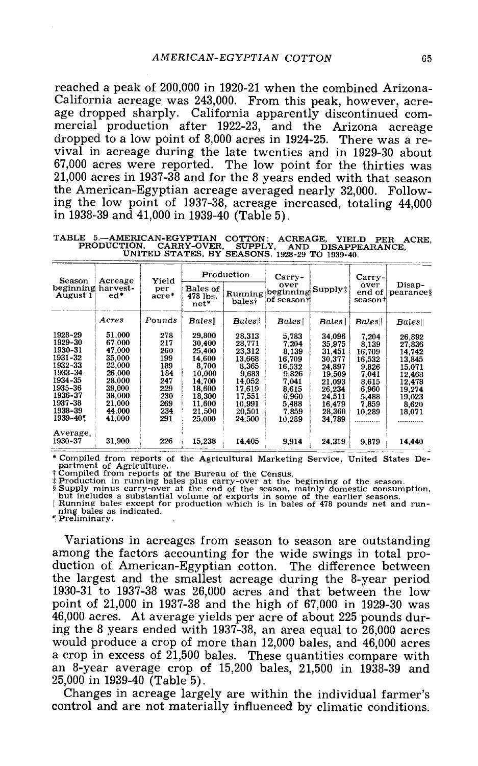reached a peak of 200,000 in 1920-21 when the combined Arizona-<br>California acreage was 243,000. From this peak, however, acre-<br>age dropped sharply. California apparently discontinued com-<br>mercial production after 1922-23, vival in acreage during the late twenties and in 1929-30 about  $67,000$  acres were reported. The low point for the thirties was  $21,000$  acres in 1937-38 and for the 8 years ended with that season the American -Egyptian acreage averaged nearly 32,000. Following the low point of 1937 -38, acreage increased, totaling 44,000 in 1938 -39 and 41,000 in 1939 -40 (Table 5).

TABLE 5.--AMERICAN-EGYPTIAN COTTON: ACREAGE, YIELD PER ACRE, PRODUCTION, CARRY-OVER, SUPPLY, AND DISAPPEARANCE,<br>UNITED STATES, BY SEASONS, 1928-29 TO 1939-40.

| Season                                                                                                                               | Acreage                                                                                                                     | Yield                                                                            |                                                                                                                     | Production                                                                                                         | Carry-                                                                                                      |                                                                                                                      | $Carry-$                                                                                           |                                                                                                           |
|--------------------------------------------------------------------------------------------------------------------------------------|-----------------------------------------------------------------------------------------------------------------------------|----------------------------------------------------------------------------------|---------------------------------------------------------------------------------------------------------------------|--------------------------------------------------------------------------------------------------------------------|-------------------------------------------------------------------------------------------------------------|----------------------------------------------------------------------------------------------------------------------|----------------------------------------------------------------------------------------------------|-----------------------------------------------------------------------------------------------------------|
| beginning harvest-<br>August 1                                                                                                       | ed*                                                                                                                         | per<br>acre*                                                                     | Bales of<br>478 lbs.<br>net*                                                                                        | Running<br>balest                                                                                                  | over<br>beginning<br>of season i                                                                            | Supply:                                                                                                              | over<br>end of<br>season†                                                                          | Disap-<br>$ $ pearance $\frac{1}{2}$                                                                      |
|                                                                                                                                      | Acres                                                                                                                       | Pounds                                                                           | <b>Bales</b>                                                                                                        | Bales                                                                                                              | Bales                                                                                                       | Bales                                                                                                                | Bales                                                                                              | Bales                                                                                                     |
| 1928-29<br>1929-30<br>1930-31<br>1931-32<br>1932-33<br>1933-34<br>1934-35<br>1935-36<br>1936-37<br>1937-38<br>1938-39<br>$1939 - 40$ | 51.000<br>67.000<br>47.000<br>35.000<br><b>22.000</b><br>26.000<br>28,000<br>39.000<br>38,000<br>21.000<br>44.000<br>41,000 | 278<br>217<br>260<br>199<br>189<br>184<br>247<br>229<br>230<br>269<br>234<br>291 | 29,800<br>30,400<br>25,400<br>14.600<br>8,700<br>10,000<br>14.700<br>18,600<br>18,300<br>11.600<br>21,500<br>25.000 | 28.313<br>28.771<br>23,312<br>13,668<br>8,365<br>9.683<br>14.052<br>17.619<br>17.551<br>10,991<br>20.501<br>24.500 | 5.783<br>7.204<br>8,139<br>16.709<br>16.532<br>9.826<br>7.041<br>8,615<br>6,960<br>5,488<br>7.859<br>10,289 | 34.096<br>35.975<br>31,451<br>30.377<br>24.897<br>19,509<br>21.093<br>26,234<br>24.511<br>16.479<br>28.360<br>34.789 | 7.204<br>8.139<br>16.709<br>16,532<br>9,826<br>7.041<br>8.615<br>6.960<br>5,488<br>7,859<br>10,289 | 26.892<br>27.836<br>14.742<br>13.845<br>15,071<br>12,468<br>12,478<br>19.274<br>19,023<br>8.620<br>18.071 |
| Average,<br>1930-37                                                                                                                  | 31,900                                                                                                                      | 226                                                                              | 15,238                                                                                                              | 14,405                                                                                                             | 9.914                                                                                                       | 24,319                                                                                                               | 9,879                                                                                              | 14,440                                                                                                    |

\* Compiled from reports of the Agricultural Marketing Service, United States De-<br>partment of Agriculture.<br> $\ddot{\text{F}}$  Compiled from reports of the Bureau of the Census.<br> $\ddot{\text{F}}$  Compiled from reports of the Bureau of the

Variations in acreages from season to season are outstanding duction of American-Egyptian cotton. The difference between the largest and the smallest acreage during the 8 -year period 1930 -31 to 1937 -38 was 26,000 acres and that between the low 46,000 acres. At average yields per acre of about 225 pounds during the 8 years ended with 1937-38, an area equal to 26,000 acres. would produce a crop of more than 12,000 bales, and 46,000 acres a crop in excess of 21,500 bales. These quantities compare with an 8-year average crop of  $15,200$  bales,  $21,500$  in  $1938-39$  and 25,000 in 1939-40 (Table 5).

Changes in acreage largely are within the individual farmer's control and are not materially influenced by climatic conditions.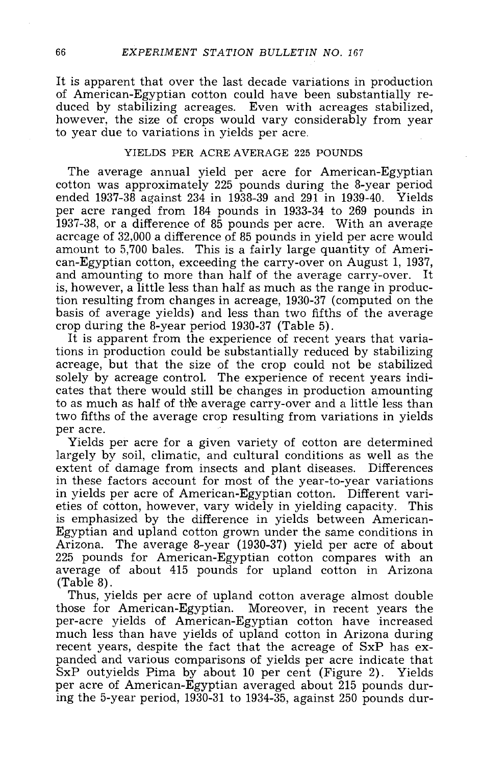It is apparent that over the last decade variations in production<br>of American-Egyptian cotton could have been substantially reduced by stabilizing acreages. Even with acreages stabilized, however, the size of crops would vary considerably from year to year due to variations in yields per acre.

#### YIELDS PER ACRE AVERAGE 225 POUNDS

The average annual yield per acre for American -Egyptian cotton was approximately 225 pounds during the 8 -year period ended 1937 -38 against 234 in 1938 -39 and 291 in 1939 -40. Yields per acre ranged from 184 pounds in 1933 -34 to 269 pounds in 1937 -38, or a difference of 85 pounds per acre. With an average acreage of 32,000 a difference of 85 pounds in yield per acre would amount to 5,700 bales. This is a fairly large quantity of Ameri- can- Egyptian cotton, exceeding the carry -over on August 1, 1937, and amounting to more than half of the average carry -over. It is, however, a little less than half as much as the range in production resulting from changes in acreage, 1930-37 (computed on the basis of average yields) and less than two fifths of the average crop during the 8-year period 1930-37 (Table 5).

It is apparent from the experience of recent years that variations in production could be substantially reduced by stabilizing acreage, but that the size of the crop could not be stabilized solely by acreage control. The experience of recent years indi- cates that there would still be changes in production amounting to as much as half of the average carry-over and a little less than two fifths of the average crop resulting from variations in yields

Yields per acre for a given variety of cotton are determined largely by soil, climatic, and cultural conditions as well as the extent of damage from insects and plant diseases. Differences in these factors account for most of the year -to -year variations in yields per acre of American-Egyptian cotton. Different varieties of cotton, however, vary widely in yielding capacity. This is emphasized by the difference in yields between American-<br>Egyptian and upland cotton grown under the same conditions in<br>Arizona. The average 8-year (1930-37) yield per acre of about<br>225 pounds for American-Egyptian cotto average of about 415 pounds for upland cotton in Arizona (Table 8).

Thus, yields per acre of upland cotton average almost double those for American-Egyptian. Moreover, in recent years the per-acre yields of American-Egyptian cotton have increased much less than have yields of upland cotton in Arizona during recent years, despite the fact that the acreage of SxP has ex-<br>panded and various comparisons of yields per acre indicate that<br>SxP outyields Pima by about 10 per cent (Figure 2). Yields per acre of American-Egyptian averaged about 215 pounds during the 5-year period,  $1930-31$  to  $1934-35$ , against  $250$  pounds dur-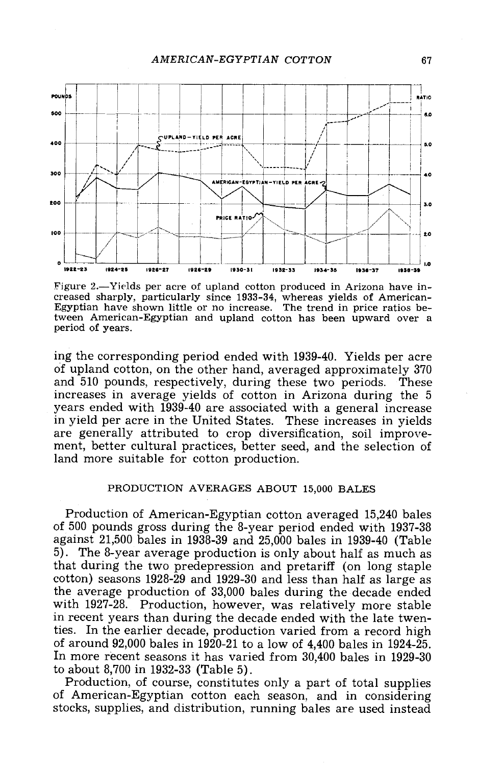

Figure 2.— Yields per acre of upland cotton produced in Arizona have in-<br>creased sharply, particularly since 1933-34, whereas yields of American-<br>Egyptian have shown little or no increase. The trend in price ratios between American -Egyptian and upland cotton has been upward over a period of years.

ing the corresponding period ended with 1939 -40. Yields per acre of upland cotton, on the other hand, averaged approximately 370 and  $510$  pounds, respectively, during these two periods. increases in average yields of cotton in Arizona during the 5 years ended with 1939-40 are associated with a general increase<br>in yield per acre in the United States. These increases in yields are generally attributed to crop diversification, soil improve-<br>ment, better cultural practices, better seed, and the selection of land more suitable for cotton production.

#### PRODUCTION AVERAGES ABOUT 15,000 BALES

Production of American-Egyptian cotton averaged 15,240 bales of 500 pounds gross during the 8-year period ended with 1937-38 against 21,500 bales in 1938-39 and 25,000 bales in 1939-40 (Table  $\overline{50}$ . The 8-year average production is only about half as much as that during the two predepression and pretariff (on long staple cotton) seasons 1928 -29 and 1929 -30 and less than half as large as the average production of 33,000 bales during the decade ended with 1927-28. Production, however, was relatively more stable in recent years than during the decade ended with the late twenties. In the earlier decade, production varied from a record high of around  $92,000$  bales in 1920-21 to a low of  $4,400$  bales in 1924-25. In more recent seasons it has varied from  $30,400$  bales in 1929-30 to about 8,700 in 1932-33 (Table 5).

Production, of course, constitutes only a part of total supplies of American-Egyptian cotton each season, and in considering stocks, supplies, and distribution, running bales are used instead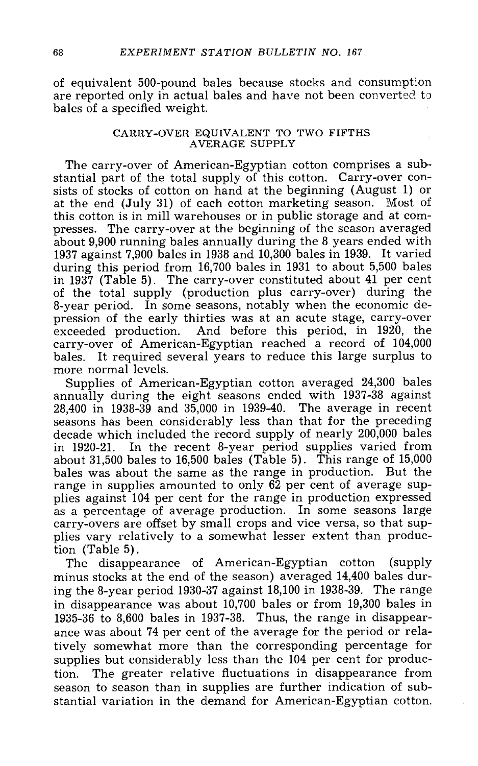of equivalent 500 -pound bales because stocks and consumption are reported only in actual bales and have not been converted to bales of a specified weight.

#### CARRY -OVER EQUIVALENT TO TWO FIFTHS AVERAGE SUPPLY

The carry-over of American-Egyptian cotton comprises a sub-<br>stantial part of the total supply of this cotton. Carry-over con-<br>sists of stocks of cotton on hand at the beginning (August 1) or at the end (July 31) of each cotton marketing season. Most of this cotton is in mill warehouses or in public storage and at compresses. The carry-over at the beginning of the season averaged about 9,900 running bales annually during the 8 years ended with 1937 against 7,900 bales in 1938 and 10,300 bales in 1939. It varied during this period from 16,700 bales in 1931 to about 5,500 bales in 1937 (Table 5). The carry-over constituted about 41 per cent of the total supply (production plus carry-over) during the 8-year period. In some seasons, notably when the economic depression of the early thirties was at an acute stage, carry-over exceeded production. And before this period, in 1920, the carry-over of American-Egyptian reached a record of 104,000 bales. It required several years to reduce this large surplus to more normal levels.<br>Supplies of American-Egyptian cotton averaged 24,300 bales

annually during the eight seasons ended with 1937-38 against 28,400 in 1938 -39 and 35,000 in 1939 -40. The average in recent seasons has been considerably less than that for the preceding decade which included the record supply of nearly 200,000 bales in 1920-21. In the recent 8-year period supplies varied from about 31,500 bales to 16,500 bales (Table 5). This range of 15,000 bales was about the same as the range in production. But the range in supplies amounted to only 62 per cent of average sup-<br>plies against 104 per cent for the range in production expressed as a percentage of average production. In some seasons large<br>carry-overs are offset by small crops and vice versa, so that supplies vary relatively to a somewhat lesser extent than production (Table 5).

The disappearance of American-Egyptian cotton (supply minus stocks at the end of the season) averaged 14,400 bales during the 8-year period 1930-37 against  $18,100$  in 1938-39. The range in disappearance was about 10,700 bales or from 19,300 bales in 1935 -36 to 8,600 bales in 1937 -38. Thus, the range in disappearance was about 74 per cent of the average for the period or relatively somewhat more than the corresponding percentage for supplies but considerably less than the 104 per cent for production. The greater relative fluctuations in disappearance from season to season than in supplies are further indication of substantial variation in the demand for American-Egyptian cotton.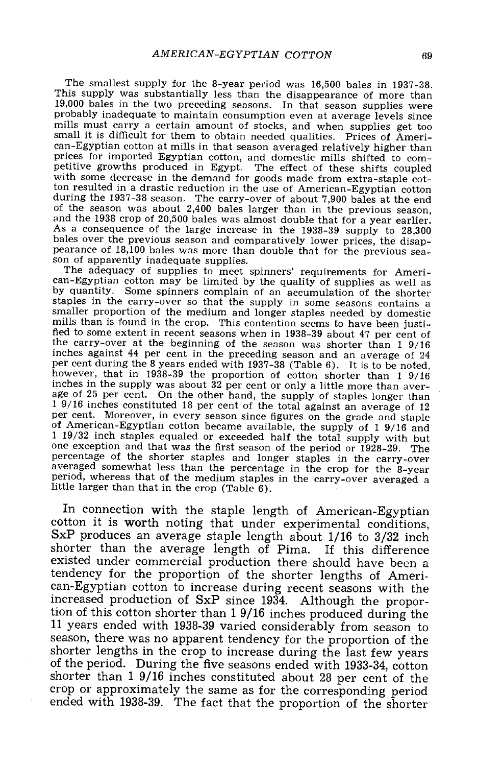The smallest supply for the 8-year period was 16,500 bales in 1937-38.<br>This supply was substantially less than the disappearance of more than 19,000 bales in the two preceding seasons. In that season supplies were probably inadequate to maintain consumption even at average levels since<br>mills must carry a certain amount of stocks, and when supplies get too small it is difficult for them to obtain needed qualities. Prices of Ameri-<br>can-Egyptian cotton at mills in that season averaged relatively higher than prices for imported Egyptian cotton, and domestic mills shifted to competitive growths produced in Egypt. The effect of these shifts coupled with some decrease in the demand for goods made from extra-staple cotton resulted in a drastic reduction in the use of American -Egyptian cotton during the 1937-38 season. The carry-over of about 7,900 bales at the end<br>of the season was about 2,400 bales larger than in the previous season,<br>and the 1938 crop of 20,500 bales was almost double that for a year earlier

pearance of 18,100 bales was more than double that for the previous season of apparently inadequate supplies.<br>The adequacy of supplies to meet spinners' requirements for Ameri-<br>can-Egyptian cotton may be limited by the qua smaller proportion of the medium and longer staples needed by domestic mills than is found in the crop. This contention seems to have been justified to some extent in recent seasons when in 1938 -39 about 47 per cent of the carry -over at the beginning of the season was shorter than 1 9/16 inches against 44 per cent in the preceding season and an average of 24 per cent during the 8 years ended with  $1937-38$  (Table 6). It is to be noted, however, that in 1938-39 the proportion of cotton shorter than 19/16 inches in the supply was about 32 per cent or only a little more than average of 25 per cent. On the other hand, the supply of staples longer than  $1\frac{9}{16}$  inches constituted 18 per cent of the total against an average of 12 per cent. Moreover, in every season since figures on the grade and staple<br>of American-Egyptian cotton became available, the supply of  $1\frac{9}{16}$  and<br> $1\frac{19}{32}$  inch staples equaled or exceeded half the total supply wit little larger than that in the crop (Table 6).

In connection with the staple length of American-Egyptian cotton it is worth noting that under experimental conditions, SxP produces an average staple length about  $1/16$  to  $3/32$  inch shorter than the average length of Pima. If this difference existed under commercial production there should have been a tendency for the proportion of the shorter lengths of American-Egyptian cotton to increase during recent seasons with the increased production of SxP since 1934. Although the proportion of this cotton shorter than 1 9/16 inches produced during the 11 years ended with 1938-39 varied considerably from season to season, there was no apparent tendency for the proportion of the shorter lengths in the crop to increase during the last few years of the period. During the five seasons ended with 1933-34, cotton shorter than 1 9/16 inches constituted about 28 per cent of the crop or approximately the same as for the corresponding period ended with 1938-39. The fact that the proportion of the shorter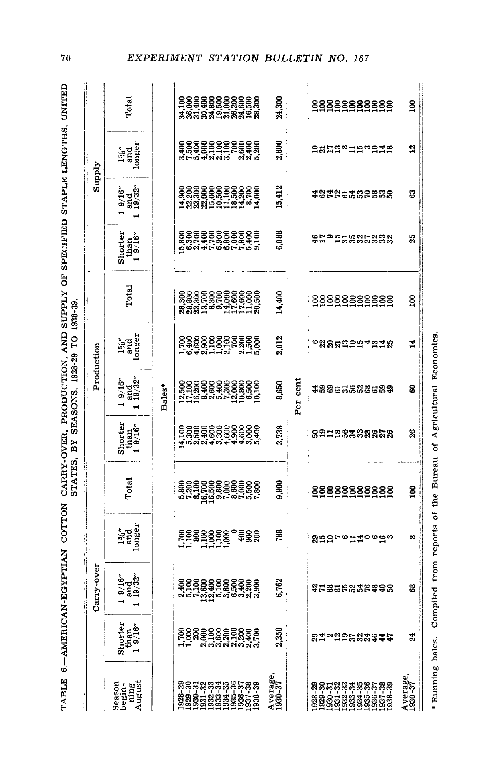| ׇ֚֬֡֡                                                                                                            |                                   |
|------------------------------------------------------------------------------------------------------------------|-----------------------------------|
|                                                                                                                  |                                   |
| <br> <br> <br>                                                                                                   |                                   |
| ׇ֚֘֝֬֝                                                                                                           |                                   |
| $\vdots$<br>֚֚֬                                                                                                  |                                   |
|                                                                                                                  | <b>AND SECT DISCUSSED DUESTED</b> |
| i<br>I                                                                                                           |                                   |
| <b>2007年,我们的国家的国家的国家的国家的国家的国家,我们的国家的国家的国家的国家的国家的国家,而且,我们的国家的国家的国家的国家的国家的国家的国家的国家,而且,我们的国家的国家的国家的国家的国家的国</b><br>i |                                   |
|                                                                                                                  |                                   |

 $70$ 

|                                                                                                                                                                                                                                                                                                                                                   |                               | Carry-over                                                    |                                        |            |                                                                    |                                | Production                                                                              |                                                   |                                                                            | Supply                         |                                         |                 |
|---------------------------------------------------------------------------------------------------------------------------------------------------------------------------------------------------------------------------------------------------------------------------------------------------------------------------------------------------|-------------------------------|---------------------------------------------------------------|----------------------------------------|------------|--------------------------------------------------------------------|--------------------------------|-----------------------------------------------------------------------------------------|---------------------------------------------------|----------------------------------------------------------------------------|--------------------------------|-----------------------------------------|-----------------|
| Season<br>ning<br>August<br>begin-                                                                                                                                                                                                                                                                                                                | Shorter<br>than<br>$1.9/16''$ | and<br>19/32<br>9/16''                                        | $\frac{15'_{6}}{\text{and}}$<br>longer | Total      | Shorter<br>than<br>$1.9/16''$                                      | $9/16^{\circ}$<br>and<br>19/32 | $\begin{array}{c} 15_{6}^{\prime\prime} \\ \textrm{and} \\ \textrm{longer} \end{array}$ | Total                                             | $\begin{array}{c} {\rm shorter} \\ {\rm than} \\ 1.9/16^\circ \end{array}$ | $9/16^{\circ}$<br>and<br>19/32 | $\frac{15s^{\prime\prime}}{\text{and}}$ | Total           |
|                                                                                                                                                                                                                                                                                                                                                   |                               |                                                               |                                        |            |                                                                    | Bales*                         |                                                                                         |                                                   |                                                                            |                                |                                         |                 |
| $\begin{array}{l} 33 \\ 33 \\ 34 \\ 35 \\ 36 \\ 37 \\ 38 \\ 39 \\ 31 \\ 32 \\ 33 \\ 34 \\ 35 \\ 36 \\ 37 \\ 38 \\ 39 \\ 30 \\ 31 \\ 32 \\ 33 \\ 34 \\ 35 \\ 36 \\ 37 \\ 38 \\ 39 \\ 30 \\ 30 \\ 31 \\ 32 \\ 33 \\ 34 \\ 35 \\ 36 \\ 37 \\ 38 \\ 39 \\ 39 \\ 30 \\ 30 \\ 31 \\ 32 \\ 33 \\ 34 \\ 35 \\ 36 \\ 37 \\ 38 \\ 39 \\ 39 \\ 39 \\ 39 \\ $ |                               |                                                               | និន្តិនី                               |            | 8888888888<br>พ.ศ. 28888888<br>เกมส์ มี มี มี มี มี มี มี<br>4,100 |                                |                                                                                         | 8888888888888<br>8888888888888<br>888818991111138 |                                                                            |                                |                                         |                 |
| Average,<br>1930-37                                                                                                                                                                                                                                                                                                                               | 2,350                         | 6,762                                                         | 788                                    | 9,900      | 3,738                                                              | 8,650                          | 2,012                                                                                   | 14,400                                            | 6,088                                                                      | 15,412                         | 2,800                                   | 24,300          |
|                                                                                                                                                                                                                                                                                                                                                   |                               |                                                               |                                        |            |                                                                    | Per cent                       |                                                                                         |                                                   |                                                                            |                                |                                         |                 |
|                                                                                                                                                                                                                                                                                                                                                   | 81~2958#\$#\$                 | ងុដននមនងនេងទទន                                                | 8995°=11°°93                           | 8888888888 | នឧកកន្ទននននននន                                                     | 38855888589                    | <b>°</b> สลส¤≘ฅ+ฅ±ล                                                                     | 8888888888                                        | <b>SHorman Sub</b>                                                         | 18225382838                    | <b>Adactación de la contra</b>          | 8888888888      |
| Average,<br>1930-37                                                                                                                                                                                                                                                                                                                               | $\boldsymbol{z}$              | 8                                                             | $\infty$                               | g          | g                                                                  | ន                              | $\overline{1}$                                                                          | $\mathbf{S}$                                      | 25                                                                         | 63                             | 잌                                       | $\frac{8}{100}$ |
| Running bales.<br>×                                                                                                                                                                                                                                                                                                                               |                               | Compiled from reports of the Bureau of Agricultural Economics |                                        |            |                                                                    |                                |                                                                                         |                                                   |                                                                            |                                |                                         |                 |

EXPERIMENT STATION BULLETIN NO. 167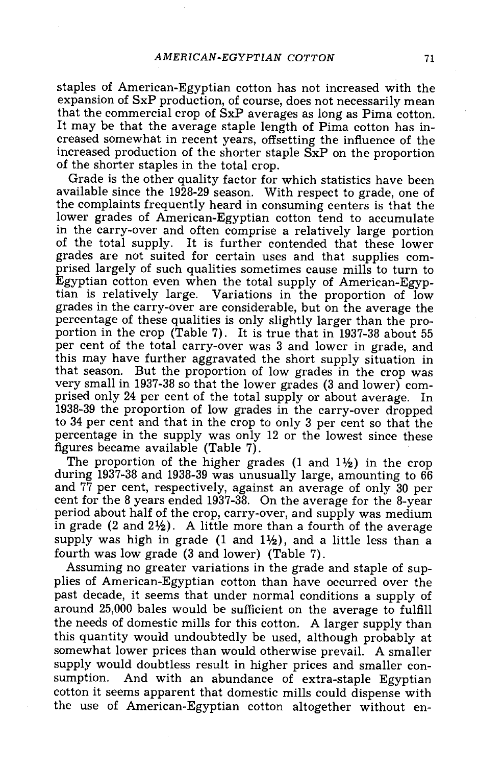staples of American -Egyptian cotton has not increased with the expansion of SxP production, of course, does not necessarily mean<br>that the commercial crop of SxP averages as long as Pima cotton. It may be that the average staple length of Pima cotton has in-<br>creased somewhat in recent years, offsetting the influence of the increased production of the shorter staple SxP on the proportion of the shorter staples in the total crop.

Grade is the other quality factor for which statistics have been available since the 1928-29 season. With respect to grade, one of the complaints frequently heard in consuming centers is that the lower grades of American-Egyptian cotton tend to accumulate in the carry -over and often comprise a relatively large portion of the total supply. It is further contended that these lower prised largely of such qualities sometimes cause mills to turn to Egyptian cotton even when the total supply of American-Egyptian is relatively large. Variations in the proportion of low grades in the carry-over are considerable, but on the average the<br>percentage of these qualities is only slightly larger than the pro-<br>portion in the crop (Table 7). It is true that in 1937-38 about 55 per cent of the total carry -over was 3 and lower in grade, and this may have further aggravated the short supply situation in that season. But the proportion of low grades in the crop was very small in 1937-38 so that the lower grades (3 and lower) com-<br>prised only 24 per cent of the total supply or about average. In 1938 -39 the proportion of low grades in the carry -over dropped to 34 per cent and that in the crop to only 3 per cent so that the percentage in the supply was only 12 or the lowest since these figures became available (Table 7).

The proportion of the higher grades (1 and  $1\frac{1}{2}$ ) in the crop during 1937-38 and 1938-39 was unusually large, amounting to 66 and 77 per cent, respectively, against an average of only 30 per cent for the 8 years ended 1937-38. On the average for the 8-year period about half of the crop, carry-over, and supply was medium in grade  $(2 \text{ and } 2\frac{1}{2})$ . A little more than a fourth of the average supply was high in grade  $(1 \text{ and } 1\frac{1}{2})$ , and a little less than a fourth was low grade (3 and lower) (Table 7).

Assuming no greater variations in the grade and staple of supplies of American -Egyptian cotton than have occurred over the past decade, it seems that under normal conditions a supply of around 25,000 bales would be sufficient on the average to fulfill the needs of domestic mills for this cotton. A larger supply than this quantity would undoubtedly be used, although probably at somewhat lower prices than would otherwise prevail. A smaller supply would doubtless result in higher prices and smaller consumption. And with an abundance of extra-staple Egyptian cotton it seems apparent that domestic mills could dispense with the use of American-Egyptian cotton altogether without en-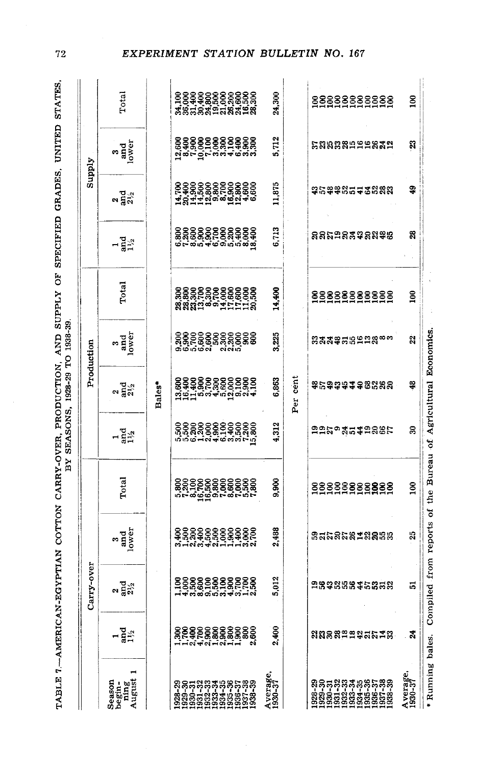| ;;<br>;<br>;<br>;                                                                                                                                                                                                                                 |                               |
|---------------------------------------------------------------------------------------------------------------------------------------------------------------------------------------------------------------------------------------------------|-------------------------------|
| Ì<br>.<br>י                                                                                                                                                                                                                                       |                               |
|                                                                                                                                                                                                                                                   |                               |
|                                                                                                                                                                                                                                                   |                               |
|                                                                                                                                                                                                                                                   |                               |
|                                                                                                                                                                                                                                                   |                               |
| We contribute the state of the state of the state of the state of the state of the state of the state of the state of the state of the state of the state of the state of the state of the state of the state of the state of                     | RY SEASONS 1928-29 TO 1938-39 |
|                                                                                                                                                                                                                                                   |                               |
|                                                                                                                                                                                                                                                   |                               |
| maning a a argument a de a argumenta de contrado de campo de campo de campo de campo de contrado de a argumenta de a argumenta de a argumenta de a argumenta de a argumenta de a argumenta de a argumenta de la campo de la ca<br>TABLE (-AMERICA |                               |
|                                                                                                                                                                                                                                                   |                               |

 $72$ 

| Carry-over                         |               |                          |                                                                         | Production            |                                                                             |                   |                            | Supply                   |            |
|------------------------------------|---------------|--------------------------|-------------------------------------------------------------------------|-----------------------|-----------------------------------------------------------------------------|-------------------|----------------------------|--------------------------|------------|
| 3<br>and<br>lower                  | Total         | $1\overline{4}$          | ್ಲಿ ರಸ್ತೆ<br>ನಿಸ್ತ                                                      | and<br>lower          | Total                                                                       | $\frac{1}{4}$ and | ್ಲಿ ಸ್ವಸ್                  | and<br>lower             | Total      |
|                                    |               |                          | Bales*                                                                  |                       |                                                                             |                   |                            |                          |            |
|                                    |               |                          |                                                                         |                       |                                                                             |                   |                            |                          |            |
|                                    |               |                          |                                                                         |                       |                                                                             |                   |                            |                          |            |
| 2,488<br>5,012                     | 9,900         | 4,312                    | 6,863                                                                   | 225                   | 14,400                                                                      | 6,713             | 11,875                     | 5,712                    | 24,300     |
|                                    |               |                          |                                                                         |                       |                                                                             |                   |                            |                          |            |
| <b>និដ្ឋនិ</b> ឌីឌីដូ <b>ន</b> និង | 8888888888    |                          | <b>等に3343382888</b>                                                     | <u> ஐสสตสเตตอลตรร</u> | 8888888888                                                                  | នននុកទន្លងទន្លងន  | <b>ទ្</b> នេទ្ទិនដូចនិន្នន | <b>ិនមាននី</b> មីគីនីនីដ | 8888888888 |
| 23                                 | $\frac{8}{2}$ | ຂ                        | 48                                                                      | 2                     | 100                                                                         | $\mathbb{R}$      | 9                          | R                        | g          |
|                                    |               |                          |                                                                         |                       |                                                                             |                   |                            |                          |            |
|                                    |               | Compiled from reports of | ទី១៩៩៩៩៩៩៩៩៩<br>ចំពុតមនុស្ស មនុស្ស មនុស្ស<br>ក្នុង មនុស្ស មនុស្ស មនុស្ស | Per cent              | the Bureau of Agricultural Economics<br>88888888888<br>88688688888<br>99699 |                   |                            |                          |            |

#### EXPERIMENT STATION BULLETIN NO. 167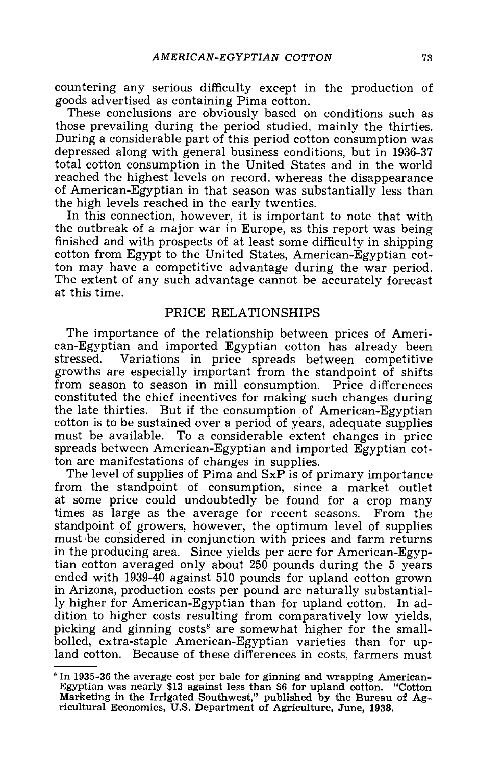countering any serious difficulty except in the production of goods advertised as containing Pima cotton. These conclusions are obviously based on conditions such as

those prevailing during the period studied, mainly the thirties. depressed along with general business conditions, but in 1936-37 total cotton consumption in the United States and in the world reached the highest levels on record, whereas the disappearance of American-Egyptian in that season was substantially less than the high levels reached in the early twenties.

In this connection, however, it is important to note that with the outbreak of a major war in Europe, as this report was being finished and with prospects of at least some difficulty in shipping cotton from Egypt to the United States, American-Egyptian cotton may have a competitive advantage during the war period. The extent of any such advantage cannot be accurately forecast<br>at this time.

#### PRICE RELATIONSHIPS

The importance of the relationship between prices of Ameri-<br>can-Egyptian and imported Egyptian cotton has already been<br>stressed. Variations in price spreads between competitive growths are especially important from the standpoint of shifts from season to season in mill consumption. Price differences constituted the chief incentives for making such changes during the late thirties. But if the consumption of American-Egyptian cotton is to be sustained over a period of years, adequate supplies must be available. To a considerable extent changes in price spreads between American- Egyptian and imported Egyptian cotton are manifestations of changes in supplies.

The level of supplies of Pima and SxP is of primary importance from the standpoint of consumption, since a market outlet at some price could undoubtedly be found for a crop many times as large as the average for recent seasons. From the standpoint of growers, however, the optimum level of supplies must be considered in conjunction with prices and farm returns in the producing area. Since yields per acre for American-Egyptian cotton averaged only about 250 pounds during the 5 years ended with 1939-40 against 510 pounds for upland cotton grown in Arizona, production costs per pound are naturally substantially higher for American-Egyptian than for upland cotton. In ad-<br>dition to higher costs resulting from comparatively low yields, picking and ginning costs<sup>8</sup> are somewhat higher for the small-<br>bolled, extra-staple American-Egyptian varieties than for upland cotton. Because of these differences in costs, farmers must

In 1935 -36 the average cost per bale for ginning and wrapping American - Egyptian was nearly \$13 against less than \$6 for upland cotton. "Cotton Marketing in the Irrigated Southwest," published by the Bureau of Ag-. ricultural Economics, U.S. Department of Agriculture, June, 1938.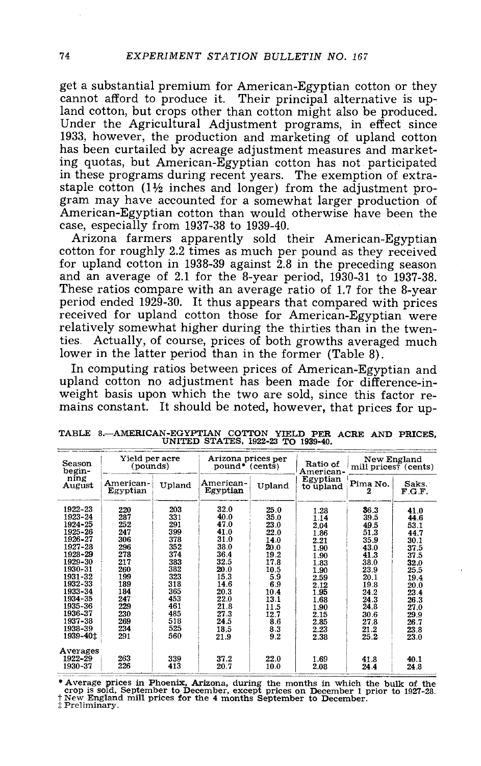get a substantial premium for American -Egyptian cotton or they cannot afford to produce it. Their principal alternative is up-<br>land cotton, but crops other than cotton might also be produced. Under the Agricultural Adjustment programs, in effect since 1933, however, the production and marketing of upland cotton has been curtailed by acreage adjustment measures and marketing quotas, but American-Egyptian cotton has not participated<br>in these programs during recent years. The exemption of extrastaple cotton  $(1\frac{1}{2})$  inches and longer) from the adjustment program may have accounted for a somewhat larger production of American-Egyptian cotton than would otherwise have been the case, especially from 1937-38 to

Arizona farmers apparently sold their American-Egyptian cotton for roughly 2.2 times as much per pound as they received for upland cotton in 1938-39 against  $2.8$  in the preceding season and an average of 2.1 for the  $8$ -year period, 1930-31 to 1937-38.<br>These ratios compare with an average ratio of 1.7 for the 8-year period ended 1929 -30. It thus appears that compared with prices received for upland cotton those for American-Egyptian were relatively somewhat higher during the thirties than in the twenties. Actually, of course, prices of both growths averaged much lower in the latter period than in the former (Table 8).

In computing ratios between prices of American-Egyptian and<br>upland cotton no adjustment has been made for difference-in-<br>weight basis upon which the two are sold, since this factor re-<br>mains constant. It should be noted, h

| Season<br>begin- | Yield per acre<br>(pounds) |        | Arizona prices per<br>$pound*$ (cents) |        | Ratio of<br>American- | New England<br>mill pricest (cents) |                 |
|------------------|----------------------------|--------|----------------------------------------|--------|-----------------------|-------------------------------------|-----------------|
| ning<br>August   | American-<br>Egyptian      | Upland | American-<br>Egyptian                  | Upland | Egyptian<br>to upland | Pima No.<br>2                       | Saks.<br>F.G.F. |
| 1922-23          | 220                        | 203    | 32.0                                   | 25.0   | 1.28                  | 36.3                                | 41.0            |
| 1923-24          | 287                        | 331    | 40.0                                   | 35.0   | 1.14                  | 39.5                                | 44.6            |
| 1924-25          | 252                        | 291    | 47.0                                   | 23.0   | 2.04                  | 49.5                                | 53.1            |
| 1925-26          | 247                        | 399    | 41.0                                   | 22.0   | 1.86                  | 51.3                                | 44.7            |
| 1926-27          | 306                        | 378    | 31.0                                   | 14.0   | 2.21                  | 35.9                                | 30.1            |
| 1927-28          | 296                        | 352    | 38.0                                   | 20.0   | 1.90                  | 43.0                                | 37.5            |
| 1928-29          | 278                        | 374    | 36.4                                   | 19.2   | 1.90                  | 41.3                                | 37.5            |
| 1929-30          | 217                        | 383    | 32.5                                   | 17.8   | 1.83                  | 38.0                                | 32.0            |
| 1930-31          | 260                        | 382    | 20.0                                   | 10.5   | 1,90                  | 23.9                                | 25.5            |
| 1931-32          | 199                        | 323    | 15.3                                   | 5.9    | 2.59                  | 20.1                                | 19.4            |
| 1932-33          | 189                        | 318    | 14.6                                   | 6.9    | 2.12                  | 19.8                                | 20.0            |
| 1933-34          | 184                        | 365    | 20.3                                   | 10.4   | 1.95                  | 24.2                                | 23.4            |
| 1934-35          | 247                        | 453    | 22.0                                   | 13.1   | 1.68                  | 24.3                                | 26.3            |
| 1935-36          | 229                        | 461    | 21.8                                   | 11.5   | 1.90                  | 24.8                                | 27.0            |
| 1936-37          | 230                        | 485    | 27.3                                   | 12.7   | 2.15                  | 30.6                                | 29.9            |
| 1937-38          | 269                        | 518    | 24.5                                   | 8.6    | 2.85                  | 27.8                                | 26.7            |
| 1938-39          | 234                        | 525    | 18.5                                   | 8.3    | 2.23                  | 21.2                                | 23.8            |
| 1939-401         | 291                        | 560    | 21.9                                   | 9.2    | 2.38                  | 25.2                                | 23.0            |
| Averages         |                            |        |                                        |        |                       |                                     |                 |
| 1922-29          | 263                        | 339    | 37.2                                   | 22.0   | 1.69                  | 41.8                                | 40.1            |
| 1930-37          | 226                        | 413    | 20.7                                   | 10.0   | 2.08                  | 24.4                                | 24.8            |

TABLE 8.--AMERICAN-EGYPTIAN COTTON YIELD PER ACRE AND PRICES, UNITED STATES, 1922-23 TO 1939-40.

\* Average prices in Phoenix, Arizona, during the months in which the bulk of the crop is sold, September to December, except prices on December 1 prior to 1927-28.  $\uparrow$  New England mill prices for the 4 months September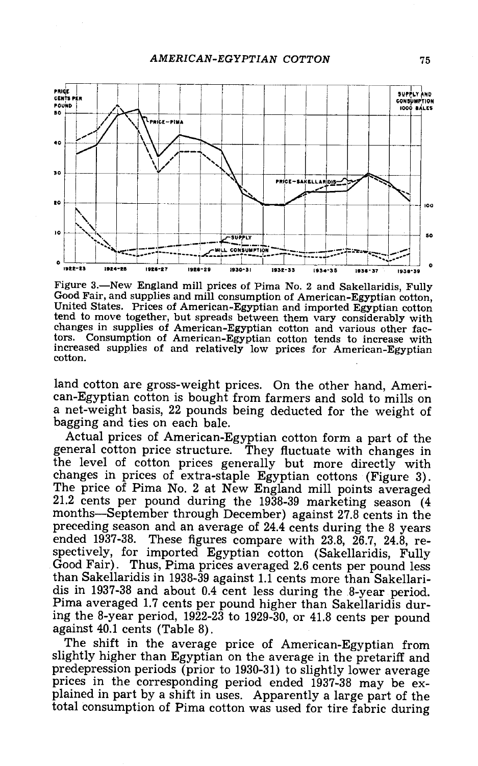

Figure 3.—New England mill prices of Pima No. 2 and Sakellaridis, Fully<br>Good Fair, and supplies and mill consumption of American-Egyptian cotton,<br>United States. Prices of American-Egyptian and imported Egyptian cotton tend to move together, but spreads between them vary considerably with changes in supplies of American -Egyptian cotton and various other factors. Consumption of American -Egyptian cotton tends to increase with increased supplies of and relatively low prices for American-Egyptian cotton.

land cotton are gross-weight prices. On the other hand, Ameri-<br>can-Egyptian cotton is bought from farmers and sold to mills on a net-weight basis, 22 pounds being deducted for the weight of bagging and ties on each bale.

Actual prices of American -Egyptian cotton form a part of the general cotton price structure. They fluctuate with changes in the level of cotton prices generally but more directly with changes in prices of extra -staple Egyptian cottons (Figure 3) . The price of Pima No. 2 at New England mill points averaged The price of Pima No. 2 at New England mill points averaged 21.2 cents per pound during the 1938-39 marketing season (4 months—September through December) against 27.8 cents in the preceding season and an average of 24.4 c spectively, for imported Egyptian cotton (Sakellaridis, Fully Good Fair). Thus, Pima prices averaged 2.6 cents per pound less than Sakellaridis in 1938-39 against 1.1 cents more than Sakellaridis in 1937-38 and about 0.4 cent less during the 8-year period.<br>Pima averaged 1.7 cents per pound higher than Sakellaridis during the 8-year period, 1922-23 to 1929-30, or 41.8 cents per pound against 40.1 cents (Table 8).

The shift in the average price of American-Egyptian from slightly higher than Egyptian on the average in the pretariff and prices in the corresponding period ended 1937-38 may be explained in part by a shift in uses. Apparently a large part of the total consumption of Pima cotton was used for tire fabric during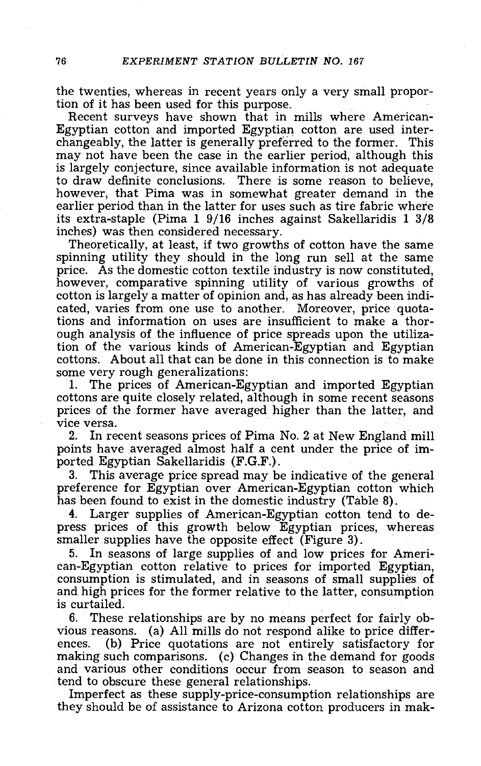the twenties, whereas in recent years only a very small proportion of it has been used for this purpose.

Recent surveys have shown that in mills where American-<br>Egyptian cotton and imported Egyptian cotton are used inter-<br>changeably, the latter is generally preferred to the former. This<br>may not have been the case in the earli is largely conjecture, since available information is not adequate however, that Pima was in somewhat greater demand in the earlier period than in the latter for uses such as tire fabric where its extra -staple (Pima 1 9/16 inches against Sakellaridis 1 3/8

Theoretically, at least, if two growths of cotton have the same spinning utility they should in the long run sell at the same price. As the domestic cotton textile industry is now constituted,<br>however, comparative spinning utility of various growths of<br>cotton is largely a matter of opinion and, as has already been indi-<br>cated, varies from one use tions and information on uses are insufficient to make a thorough analysis of the influence of price spreads upon the utilization of the various kinds of American -Egyptian and Egyptian cottons. About all that can be done in this connection is to make some very rough generalizations:

1. The prices of American-Egyptian and imported Egyptian cottons are quite closely related, although in some recent seasons prices of the former have averaged higher than the latter, and vice versa.<br>2. In recent seasons prices of Pima No. 2 at New England mill

points have averaged almost half a cent under the price of im-<br>ported Egyptian Sakellaridis (F.G.F.).

3. This average price spread may be indicative of the general preference for Egyptian over American -Egyptian cotton which has been found to exist in the domestic industry (Table 8).<br>4. Larger supplies of American-Egyptian cotton tend to de-

4. Larger supplies of American-Egyptian cotton tend to de-<br>press prices of this growth below Egyptian prices, whereas smaller supplies have the opposite effect (Figure 3).

5. In seasons of large supplies of and low prices for American-Egyptian cotton relative to prices for imported Egyptian, consumption is stimulated, and in seasons of small supplies of and high prices for the former relativ is curtailed.

6. These relationships are by no means perfect for fairly ob-<br>vious reasons. (a) All mills do not respond alike to price differ-<br>ences. (b) Price quotations are not entirely satisfactory for making such comparisons. (c) Changes in the demand for goods and various other conditions occur from season to season and tend to obscure these general relationships.

Imperfect as these supply-price-consumption relationships are they should be of assistance to Arizona cotton producers in mak